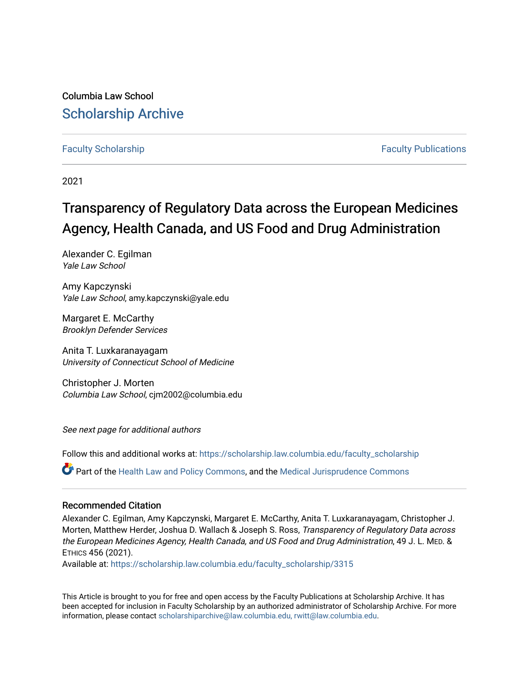Columbia Law School [Scholarship Archive](https://scholarship.law.columbia.edu/) 

# [Faculty Scholarship](https://scholarship.law.columbia.edu/faculty_scholarship) [Faculty Publications](https://scholarship.law.columbia.edu/faculty_publications)

2021

# Transparency of Regulatory Data across the European Medicines Agency, Health Canada, and US Food and Drug Administration

Alexander C. Egilman Yale Law School

Amy Kapczynski Yale Law School, amy.kapczynski@yale.edu

Margaret E. McCarthy Brooklyn Defender Services

Anita T. Luxkaranayagam University of Connecticut School of Medicine

Christopher J. Morten Columbia Law School, cjm2002@columbia.edu

See next page for additional authors

Follow this and additional works at: [https://scholarship.law.columbia.edu/faculty\\_scholarship](https://scholarship.law.columbia.edu/faculty_scholarship?utm_source=scholarship.law.columbia.edu%2Ffaculty_scholarship%2F3315&utm_medium=PDF&utm_campaign=PDFCoverPages)

Part of the [Health Law and Policy Commons](http://network.bepress.com/hgg/discipline/901?utm_source=scholarship.law.columbia.edu%2Ffaculty_scholarship%2F3315&utm_medium=PDF&utm_campaign=PDFCoverPages), and the [Medical Jurisprudence Commons](http://network.bepress.com/hgg/discipline/860?utm_source=scholarship.law.columbia.edu%2Ffaculty_scholarship%2F3315&utm_medium=PDF&utm_campaign=PDFCoverPages) 

### Recommended Citation

Alexander C. Egilman, Amy Kapczynski, Margaret E. McCarthy, Anita T. Luxkaranayagam, Christopher J. Morten, Matthew Herder, Joshua D. Wallach & Joseph S. Ross, Transparency of Regulatory Data across the European Medicines Agency, Health Canada, and US Food and Drug Administration, 49 J. L. MED. & ETHICS 456 (2021).

Available at: [https://scholarship.law.columbia.edu/faculty\\_scholarship/3315](https://scholarship.law.columbia.edu/faculty_scholarship/3315?utm_source=scholarship.law.columbia.edu%2Ffaculty_scholarship%2F3315&utm_medium=PDF&utm_campaign=PDFCoverPages)

This Article is brought to you for free and open access by the Faculty Publications at Scholarship Archive. It has been accepted for inclusion in Faculty Scholarship by an authorized administrator of Scholarship Archive. For more information, please contact [scholarshiparchive@law.columbia.edu, rwitt@law.columbia.edu](mailto:scholarshiparchive@law.columbia.edu,%20rwitt@law.columbia.edu).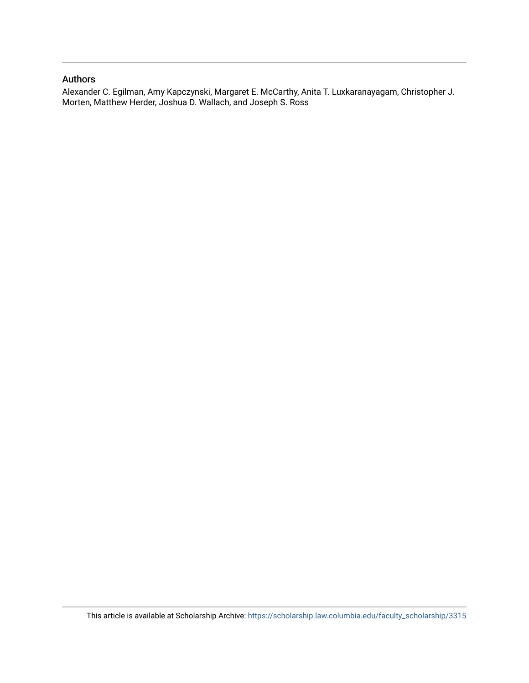# Authors

Alexander C. Egilman, Amy Kapczynski, Margaret E. McCarthy, Anita T. Luxkaranayagam, Christopher J. Morten, Matthew Herder, Joshua D. Wallach, and Joseph S. Ross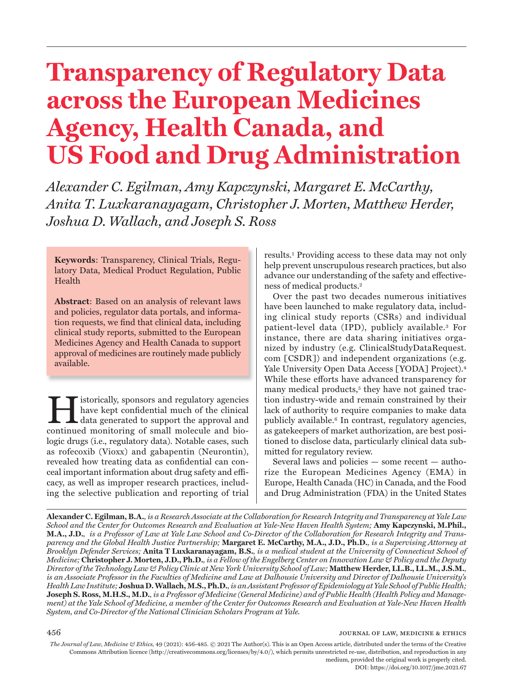# **Transparency of Regulatory Data across the European Medicines Agency, Health Canada, and US Food and Drug Administration**

*Alexander C. Egilman, Amy Kapczynski, Margaret E. McCarthy, Anita T. Luxkaranayagam, Christopher J. Morten, Matthew Herder, Joshua D. Wallach, and Joseph S. Ross*

**Keywords**: Transparency, Clinical Trials, Regulatory Data, Medical Product Regulation, Public Health

**Abstract**: Based on an analysis of relevant laws and policies, regulator data portals, and information requests, we find that clinical data, including clinical study reports, submitted to the European Medicines Agency and Health Canada to support approval of medicines are routinely made publicly available.

Exploritude Supposes and regulatory agencies<br>
have kept confidential much of the clinical<br>
data generated to support the approval and<br>
continued monitoring of small molecule and bio have kept confidential much of the clinical continued monitoring of small molecule and biologic drugs (i.e., regulatory data). Notable cases, such as rofecoxib (Vioxx) and gabapentin (Neurontin), revealed how treating data as confidential can conceal important information about drug safety and effi cacy, as well as improper research practices, including the selective publication and reporting of trial

results.1 Providing access to these data may not only help prevent unscrupulous research practices, but also advance our understanding of the safety and effectiveness of medical products.2

Over the past two decades numerous initiatives have been launched to make regulatory data, including clinical study reports (CSRs) and individual patient-level data (IPD), publicly available.3 For instance, there are data sharing initiatives organized by industry (e.g. ClinicalStudyDataRequest. com [CSDR]) and independent organizations (e.g. Yale University Open Data Access [YODA] Project).<sup>4</sup> While these efforts have advanced transparency for many medical products,<sup>5</sup> they have not gained traction industry-wide and remain constrained by their lack of authority to require companies to make data publicly available.6 In contrast, regulatory agencies, as gatekeepers of market authorization, are best positioned to disclose data, particularly clinical data submitted for regulatory review.

Several laws and policies — some recent — authorize the European Medicines Agency (EMA) in Europe, Health Canada (HC) in Canada, and the Food and Drug Administration (FDA) in the United States

**Alexander C. Egilman, B.A.***, is a Research Associate at the Collaboration for Research Integrity and Transparency at Yale Law School and the Center for Outcomes Research and Evaluation at Yale-New Haven Health System;* **Amy Kapczynski, M.Phil., M.A., J.D.***, is a Professor of Law at Yale Law School and Co-Director of the Collaboration for Research Integrity and Transparency and the Global Health Justice Partnership;* **Margaret E. McCarthy, M.A., J.D., Ph.D.***, is a Supervising Attorney at Brooklyn Defender Services;* **Anita T Luxkaranayagam, B.S.***, is a medical student at the University of Connecticut School of Medicine;* **Christopher J. Morten, J.D., Ph.D.***, is a Fellow of the Engelberg Center on Innovation Law & Policy and the Deputy Director of the Technology Law & Policy Clinic at New York University School of Law;* **Matthew Herder, LL.B., LL.M., J.S.M.***, is an Associate Professor in the Faculties of Medicine and Law at Dalhousie University and Director of Dalhousie University's Health Law Institute;* **Joshua D. Wallach,M.S., Ph.D.***, is an Assistant Professor of Epidemiology at Yale School of Public Health;*  **Joseph S. Ross, M.H.S., M.D.***, is a Professor of Medicine (General Medicine) and of Public Health (Health Policy and Management) at the Yale School of Medicine, a member of the Center for Outcomes Research and Evaluation at Yale-New Haven Health System, and Co-Director of the National Clinician Scholars Program at Yale.* 

*The Journal of Law, Medicine & Ethics,* 49 (2021): 456-485. © 2021 The Author(s). This is an Open Access article, distributed under the terms of the Creative Commons Attribution licence (http://creativecommons.org/licenses/by/4.0/), which permits unrestricted re-use, distribution, and reproduction in any medium, provided the original work is properly cited. DOI: https://doi.org/10.1017/jme.2021.67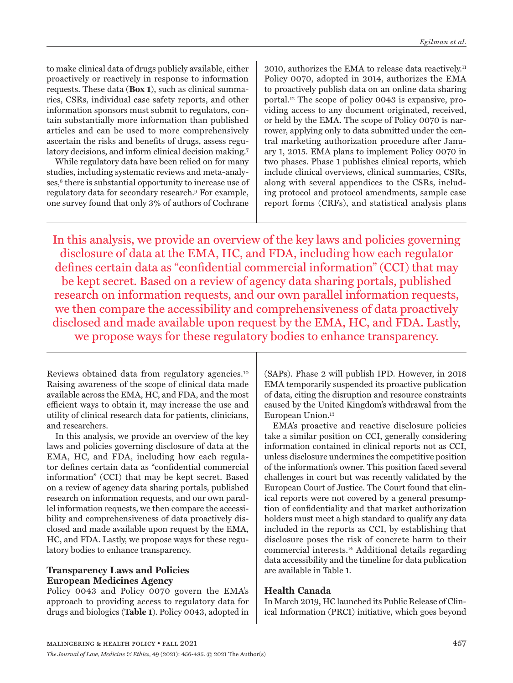to make clinical data of drugs publicly available, either proactively or reactively in response to information requests. These data (**Box 1**), such as clinical summaries, CSRs, individual case safety reports, and other information sponsors must submit to regulators, contain substantially more information than published articles and can be used to more comprehensively ascertain the risks and benefits of drugs, assess regulatory decisions, and inform clinical decision making.7

While regulatory data have been relied on for many studies, including systematic reviews and meta-analyses,<sup>8</sup> there is substantial opportunity to increase use of regulatory data for secondary research.9 For example, one survey found that only 3% of authors of Cochrane

2010, authorizes the EMA to release data reactively.11 Policy 0070, adopted in 2014, authorizes the EMA to proactively publish data on an online data sharing portal.12 The scope of policy 0043 is expansive, providing access to any document originated, received, or held by the EMA. The scope of Policy 0070 is narrower, applying only to data submitted under the central marketing authorization procedure after January 1, 2015. EMA plans to implement Policy 0070 in two phases. Phase 1 publishes clinical reports, which include clinical overviews, clinical summaries, CSRs, along with several appendices to the CSRs, including protocol and protocol amendments, sample case report forms (CRFs), and statistical analysis plans

In this analysis, we provide an overview of the key laws and policies governing disclosure of data at the EMA, HC, and FDA, including how each regulator defines certain data as "confidential commercial information" (CCI) that may be kept secret. Based on a review of agency data sharing portals, published research on information requests, and our own parallel information requests, we then compare the accessibility and comprehensiveness of data proactively disclosed and made available upon request by the EMA, HC, and FDA. Lastly, we propose ways for these regulatory bodies to enhance transparency.

Reviews obtained data from regulatory agencies.10 Raising awareness of the scope of clinical data made available across the EMA, HC, and FDA, and the most efficient ways to obtain it, may increase the use and utility of clinical research data for patients, clinicians, and researchers.

In this analysis, we provide an overview of the key laws and policies governing disclosure of data at the EMA, HC, and FDA, including how each regulator defines certain data as "confidential commercial information" (CCI) that may be kept secret. Based on a review of agency data sharing portals, published research on information requests, and our own parallel information requests, we then compare the accessibility and comprehensiveness of data proactively disclosed and made available upon request by the EMA, HC, and FDA. Lastly, we propose ways for these regulatory bodies to enhance transparency.

# **Transparency Laws and Policies European Medicines Agency**

Policy 0043 and Policy 0070 govern the EMA's approach to providing access to regulatory data for drugs and biologics (**Table 1**). Policy 0043, adopted in (SAPs). Phase 2 will publish IPD. However, in 2018 EMA temporarily suspended its proactive publication of data, citing the disruption and resource constraints caused by the United Kingdom's withdrawal from the European Union.13

EMA's proactive and reactive disclosure policies take a similar position on CCI, generally considering information contained in clinical reports not as CCI, unless disclosure undermines the competitive position of the information's owner. This position faced several challenges in court but was recently validated by the European Court of Justice. The Court found that clinical reports were not covered by a general presumption of confidentiality and that market authorization holders must meet a high standard to qualify any data included in the reports as CCI, by establishing that disclosure poses the risk of concrete harm to their commercial interests.14 Additional details regarding data accessibility and the timeline for data publication are available in Table 1.

# **Health Canada**

In March 2019, HC launched its Public Release of Clinical Information (PRCI) initiative, which goes beyond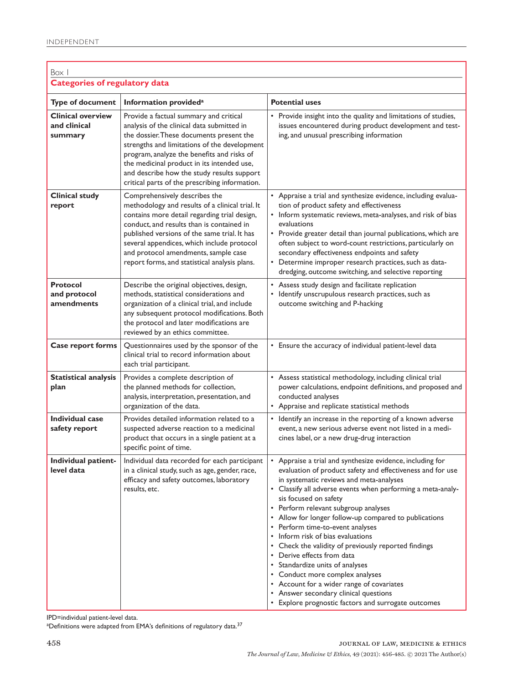| Box I                                               |                                                                                                                                                                                                                                                                                                                                                                              |                                                                                                                                                                                                                                                                                                                                                                                                                                                                                                                                                                                                                                                                                                                                               |
|-----------------------------------------------------|------------------------------------------------------------------------------------------------------------------------------------------------------------------------------------------------------------------------------------------------------------------------------------------------------------------------------------------------------------------------------|-----------------------------------------------------------------------------------------------------------------------------------------------------------------------------------------------------------------------------------------------------------------------------------------------------------------------------------------------------------------------------------------------------------------------------------------------------------------------------------------------------------------------------------------------------------------------------------------------------------------------------------------------------------------------------------------------------------------------------------------------|
| <b>Categories of regulatory data</b>                |                                                                                                                                                                                                                                                                                                                                                                              |                                                                                                                                                                                                                                                                                                                                                                                                                                                                                                                                                                                                                                                                                                                                               |
| <b>Type of document</b>                             | Information provided <sup>a</sup>                                                                                                                                                                                                                                                                                                                                            | <b>Potential uses</b>                                                                                                                                                                                                                                                                                                                                                                                                                                                                                                                                                                                                                                                                                                                         |
| <b>Clinical overview</b><br>and clinical<br>summary | Provide a factual summary and critical<br>analysis of the clinical data submitted in<br>the dossier. These documents present the<br>strengths and limitations of the development<br>program, analyze the benefits and risks of<br>the medicinal product in its intended use,<br>and describe how the study results support<br>critical parts of the prescribing information. | • Provide insight into the quality and limitations of studies,<br>issues encountered during product development and test-<br>ing, and unusual prescribing information                                                                                                                                                                                                                                                                                                                                                                                                                                                                                                                                                                         |
| <b>Clinical study</b><br>report                     | Comprehensively describes the<br>methodology and results of a clinical trial. It<br>contains more detail regarding trial design,<br>conduct, and results than is contained in<br>published versions of the same trial. It has<br>several appendices, which include protocol<br>and protocol amendments, sample case<br>report forms, and statistical analysis plans.         | • Appraise a trial and synthesize evidence, including evalua-<br>tion of product safety and effectiveness<br>• Inform systematic reviews, meta-analyses, and risk of bias<br>evaluations<br>• Provide greater detail than journal publications, which are<br>often subject to word-count restrictions, particularly on<br>secondary effectiveness endpoints and safety<br>Determine improper research practices, such as data-<br>٠<br>dredging, outcome switching, and selective reporting                                                                                                                                                                                                                                                   |
| <b>Protocol</b><br>and protocol<br>amendments       | Describe the original objectives, design,<br>methods, statistical considerations and<br>organization of a clinical trial, and include<br>any subsequent protocol modifications. Both<br>the protocol and later modifications are<br>reviewed by an ethics committee.                                                                                                         | • Assess study design and facilitate replication<br>• Identify unscrupulous research practices, such as<br>outcome switching and P-hacking                                                                                                                                                                                                                                                                                                                                                                                                                                                                                                                                                                                                    |
| Case report forms                                   | Questionnaires used by the sponsor of the<br>clinical trial to record information about<br>each trial participant.                                                                                                                                                                                                                                                           | • Ensure the accuracy of individual patient-level data                                                                                                                                                                                                                                                                                                                                                                                                                                                                                                                                                                                                                                                                                        |
| <b>Statistical analysis</b><br>plan                 | Provides a complete description of<br>the planned methods for collection,<br>analysis, interpretation, presentation, and<br>organization of the data.                                                                                                                                                                                                                        | • Assess statistical methodology, including clinical trial<br>power calculations, endpoint definitions, and proposed and<br>conducted analyses<br>• Appraise and replicate statistical methods                                                                                                                                                                                                                                                                                                                                                                                                                                                                                                                                                |
| Individual case<br>safety report                    | Provides detailed information related to a<br>suspected adverse reaction to a medicinal<br>product that occurs in a single patient at a<br>specific point of time.                                                                                                                                                                                                           | • Identify an increase in the reporting of a known adverse<br>event, a new serious adverse event not listed in a medi-<br>cines label, or a new drug-drug interaction                                                                                                                                                                                                                                                                                                                                                                                                                                                                                                                                                                         |
| Individual patient-<br>level data                   | Individual data recorded for each participant<br>in a clinical study, such as age, gender, race,<br>efficacy and safety outcomes, laboratory<br>results, etc.                                                                                                                                                                                                                | • Appraise a trial and synthesize evidence, including for<br>evaluation of product safety and effectiveness and for use<br>in systematic reviews and meta-analyses<br>• Classify all adverse events when performing a meta-analy-<br>sis focused on safety<br>• Perform relevant subgroup analyses<br>• Allow for longer follow-up compared to publications<br>• Perform time-to-event analyses<br>• Inform risk of bias evaluations<br>• Check the validity of previously reported findings<br>• Derive effects from data<br>• Standardize units of analyses<br>• Conduct more complex analyses<br>• Account for a wider range of covariates<br>• Answer secondary clinical questions<br>• Explore prognostic factors and surrogate outcomes |

IPD=individual patient-level data.

 $^{\rm a}$ Definitions were adapted from EMA's definitions of regulatory data. $^{37}$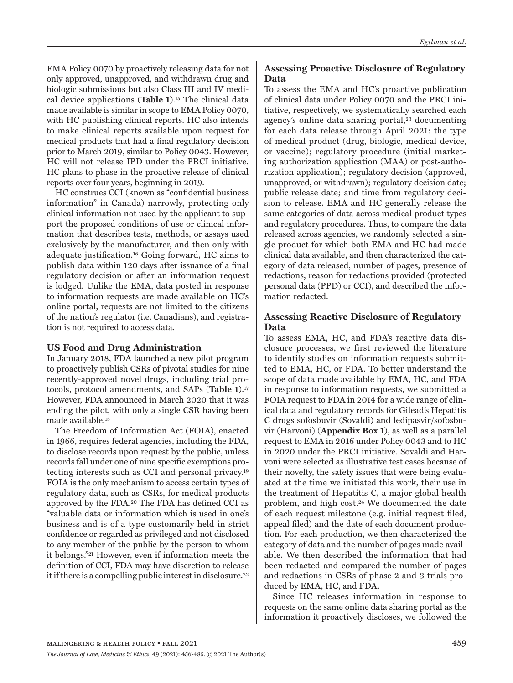EMA Policy 0070 by proactively releasing data for not only approved, unapproved, and withdrawn drug and biologic submissions but also Class III and IV medical device applications (**Table 1**).15 The clinical data made available is similar in scope to EMA Policy 0070, with HC publishing clinical reports. HC also intends to make clinical reports available upon request for medical products that had a final regulatory decision prior to March 2019, similar to Policy 0043. However, HC will not release IPD under the PRCI initiative. HC plans to phase in the proactive release of clinical reports over four years, beginning in 2019.

HC construes CCI (known as "confidential business information" in Canada) narrowly, protecting only clinical information not used by the applicant to support the proposed conditions of use or clinical information that describes tests, methods, or assays used exclusively by the manufacturer, and then only with adequate justification.16 Going forward, HC aims to publish data within 120 days after issuance of a final regulatory decision or after an information request is lodged. Unlike the EMA, data posted in response to information requests are made available on HC's online portal, requests are not limited to the citizens of the nation's regulator (i.e. Canadians), and registration is not required to access data.

# **US Food and Drug Administration**

In January 2018, FDA launched a new pilot program to proactively publish CSRs of pivotal studies for nine recently-approved novel drugs, including trial protocols, protocol amendments, and SAPs (**Table 1**).17 However, FDA announced in March 2020 that it was ending the pilot, with only a single CSR having been made available.18

The Freedom of Information Act (FOIA), enacted in 1966, requires federal agencies, including the FDA, to disclose records upon request by the public, unless records fall under one of nine specific exemptions protecting interests such as CCI and personal privacy.19 FOIA is the only mechanism to access certain types of regulatory data, such as CSRs, for medical products approved by the FDA.20 The FDA has defined CCI as "valuable data or information which is used in one's business and is of a type customarily held in strict confidence or regarded as privileged and not disclosed to any member of the public by the person to whom it belongs."21 However, even if information meets the definition of CCI, FDA may have discretion to release it if there is a compelling public interest in disclosure.22

# **Assessing Proactive Disclosure of Regulatory Data**

To assess the EMA and HC's proactive publication of clinical data under Policy 0070 and the PRCI initiative, respectively, we systematically searched each agency's online data sharing portal,<sup>23</sup> documenting for each data release through April 2021: the type of medical product (drug, biologic, medical device, or vaccine); regulatory procedure (initial marketing authorization application (MAA) or post-authorization application); regulatory decision (approved, unapproved, or withdrawn); regulatory decision date; public release date; and time from regulatory decision to release. EMA and HC generally release the same categories of data across medical product types and regulatory procedures. Thus, to compare the data released across agencies, we randomly selected a single product for which both EMA and HC had made clinical data available, and then characterized the category of data released, number of pages, presence of redactions, reason for redactions provided (protected personal data (PPD) or CCI), and described the information redacted.

### **Assessing Reactive Disclosure of Regulatory Data**

To assess EMA, HC, and FDA's reactive data disclosure processes, we first reviewed the literature to identify studies on information requests submitted to EMA, HC, or FDA. To better understand the scope of data made available by EMA, HC, and FDA in response to information requests, we submitted a FOIA request to FDA in 2014 for a wide range of clinical data and regulatory records for Gilead's Hepatitis C drugs sofosbuvir (Sovaldi) and ledipasvir/sofosbuvir (Harvoni) (**Appendix Box 1**), as well as a parallel request to EMA in 2016 under Policy 0043 and to HC in 2020 under the PRCI initiative. Sovaldi and Harvoni were selected as illustrative test cases because of their novelty, the safety issues that were being evaluated at the time we initiated this work, their use in the treatment of Hepatitis C, a major global health problem, and high cost.<sup>24</sup> We documented the date of each request milestone (e.g. initial request filed, appeal filed) and the date of each document production. For each production, we then characterized the category of data and the number of pages made available. We then described the information that had been redacted and compared the number of pages and redactions in CSRs of phase 2 and 3 trials produced by EMA, HC, and FDA.

Since HC releases information in response to requests on the same online data sharing portal as the information it proactively discloses, we followed the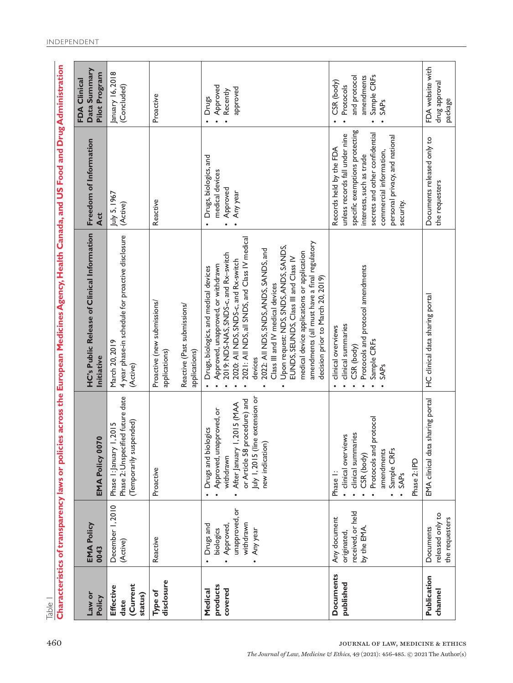|                                          |                                                                                             |                                                                                                                                                                                                 | Characteristics of transparency laws or policies across the European Medicines Agency, Health Canada, and US Food and Drug Administration                                                                                                                                                                                                                                                                                                                                                                                 |                                                                                                                                                                                                                                     |                                                                                     |
|------------------------------------------|---------------------------------------------------------------------------------------------|-------------------------------------------------------------------------------------------------------------------------------------------------------------------------------------------------|---------------------------------------------------------------------------------------------------------------------------------------------------------------------------------------------------------------------------------------------------------------------------------------------------------------------------------------------------------------------------------------------------------------------------------------------------------------------------------------------------------------------------|-------------------------------------------------------------------------------------------------------------------------------------------------------------------------------------------------------------------------------------|-------------------------------------------------------------------------------------|
| <b>Law or</b><br>Policy                  | <b>EMA Policy</b><br>0043                                                                   | EMA Policy 0070                                                                                                                                                                                 | HC's Public Release of Clinical Information<br>Initiative                                                                                                                                                                                                                                                                                                                                                                                                                                                                 | Freedom of Information<br>Act                                                                                                                                                                                                       | Data Summary<br>Pilot Program<br>FDA Clinical                                       |
| (Current<br>Effective<br>status)<br>date | December 1, 2010<br>(Active)                                                                | Phase 2: Unspecified future date<br>(Temporarily suspended)<br>1,2015<br>Phase I: January                                                                                                       | 4 year phase-in schedule for proactive disclosure<br>March 20, 2019<br>(Active)                                                                                                                                                                                                                                                                                                                                                                                                                                           | July 5, 1967<br>(Active)                                                                                                                                                                                                            | January 16, 2018<br>(Concluded)                                                     |
| disclosure<br>Type of                    | Reactive                                                                                    | Proactive                                                                                                                                                                                       | Proactive (new submissions/<br>Reactive (Past submissions/<br>applications)<br>applications)                                                                                                                                                                                                                                                                                                                                                                                                                              | Reactive                                                                                                                                                                                                                            | Proactive                                                                           |
| products<br>covered<br>Medical           | unapproved, or<br>withdrawn<br>Drugs and<br>Approved,<br>biologics<br>Any year<br>$\bullet$ | July I, 2015 (line extension or<br>or Article 58 procedure) and<br>1,2015 (MAA<br>Approved, unapproved, or<br>Drugs and biologics<br>new indication)<br>After January<br>withdrawn<br>$\bullet$ | 2021: All NDS, all SNDS, and Class IV medical<br>amendments (all must have a final regulatory<br>Upon request: NDS, SNDS, ANDS, SANDS,<br>2022: All NDS, SNDS, ANDS, SANDS, and<br>medical device applications or application<br>2019: NDS-NAS, SNDS-c, and Rx-switch<br>EUNDS, SEUNDS, Class III and Class IV<br>2020: All NDS, SNDS-c, and Rx-switch<br>Approved, unapproved, or withdrawn<br>Drugs, biologics, and medical devices<br>decision prior to March 20, 2019)<br>Class III and IV medical devices<br>devices | Drugs, biologics, and<br>medical devices<br>Approved<br>Any year                                                                                                                                                                    | Approved<br>approved<br>Recently<br>Drugs<br>$\bullet$                              |
| <b>Documents</b><br>published            | received, or held<br>Any document<br>by the EMA<br>originated                               | protocol<br>clinical summaries<br>clinical overviews<br>Protocols and<br>Sample CRFs<br>amendments<br>CSR (body)<br>Phase 2: IPD<br>Phase I:<br><b>SAPs</b><br>$\bullet$                        | Protocols and protocol amendments<br>clinical summaries<br>clinical overviews<br>Sample CRFs<br>CSR (body)<br><b>SAPs</b>                                                                                                                                                                                                                                                                                                                                                                                                 | specific exemptions protecting<br>secrets and other confidential<br>unless records fall under nine<br>personal privacy, and national<br>Records held by the FDA<br>commercial information,<br>interests, such as trade<br>security. | Sample CRFs<br>and protocol<br>amendments<br>CSR (body)<br>Protocols<br><b>SAPs</b> |
| Publication<br>channel                   | released only to<br>the requesters<br>Documents                                             | sharing portal<br>EMA clinical data                                                                                                                                                             | HC clinical data sharing portal                                                                                                                                                                                                                                                                                                                                                                                                                                                                                           | Documents released only to<br>the requesters                                                                                                                                                                                        | FDA website with<br>drug approval<br>package                                        |

Table 1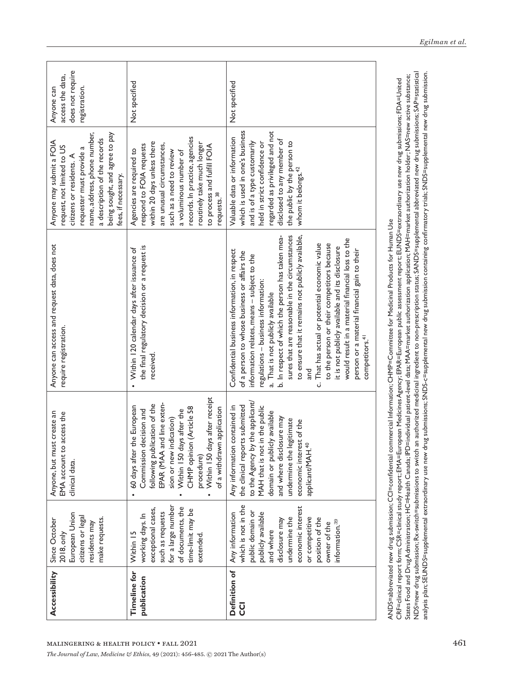| Accessibility                                                                 | European Union<br>citizens or legal<br>make requests.<br>Since October<br>residents may<br>2018, only                                                                                                                                    | Anyone, but must create an<br>access the<br>EMA account to<br>clinical data.                                                                                                                                                                                                                     | Anyone can access and request data, does not<br>require registration.                                                                                                                                                                                                                                                                                                                                                                                                                                                                                                                                                                                                           | name, address, phone number,<br>being sought, and agree to pay<br>a description of the records<br>Anyone may submit a FOIA<br>request, not limited to US<br>requester must provide a<br>citizens or residents. A<br>fees, if necessary.                                                           | does not require<br>access the data,<br>Anyone can<br>registration. |
|-------------------------------------------------------------------------------|------------------------------------------------------------------------------------------------------------------------------------------------------------------------------------------------------------------------------------------|--------------------------------------------------------------------------------------------------------------------------------------------------------------------------------------------------------------------------------------------------------------------------------------------------|---------------------------------------------------------------------------------------------------------------------------------------------------------------------------------------------------------------------------------------------------------------------------------------------------------------------------------------------------------------------------------------------------------------------------------------------------------------------------------------------------------------------------------------------------------------------------------------------------------------------------------------------------------------------------------|---------------------------------------------------------------------------------------------------------------------------------------------------------------------------------------------------------------------------------------------------------------------------------------------------|---------------------------------------------------------------------|
| <b>Timeline for</b><br>publication<br>MALINGERING & HEALTH POLICY . FALL 2021 | for a large number<br>of documents, the<br>exceptional cases,<br>time-limit may be<br>such as requests<br>working days. In<br>Within 15<br>extended                                                                                      | Within 150 days after receipt<br>EPAR (MAA and line exten-<br>following publication of the<br>the European<br>CHMP opinion (Article 58<br>of a withdrawn application<br>Commission decision and<br>Within 150 days after the<br>sion or new indication)<br>60 days after<br>procedure)           | the final regulatory decision or a request is<br>Within 120 calendar days after issuance of<br>received.                                                                                                                                                                                                                                                                                                                                                                                                                                                                                                                                                                        | records. In practice, agencies<br>within 20 days unless there<br>routinely take much longer<br>are unusual circumstances,<br>respond to FOIA requests<br>to process and fulfill FOIA<br>Agencies are required to<br>such as a need to review<br>a voluminous number of<br>requests. <sup>38</sup> | Not specified                                                       |
| Definition of<br><b>U</b>                                                     | which is not in the<br>economic interest<br>publicly available<br>public domain or<br>Any information<br>undermine the<br>or competitive<br>position of the<br>disclosure may<br>information. <sup>39</sup><br>owner of the<br>and where | to the Agency by the applicant/<br>the clinical reports submitted<br>MAH that is not in the public<br>n contained in<br>domain or publicly available<br>and where disclosure may<br>legitimate<br>economic interest of the<br>applicant/MAH. <sup>40</sup><br>Any information<br>undermine the I | sures that are reasonable in the circumstances<br>b. In respect of which the person has taken mea-<br>to ensure that it remains not publicly available,<br>would result in a material financial loss to the<br>c. That has actual or potential economic value<br>to the person or their competitors because<br>it is not publicly available and its disclosure<br>person or a material financial gain to their<br>Confidential business information, in respect<br>of a person to whose business or affairs the<br>information relates, means - subject to the<br>regulations - business information:<br>a. That is not publicly available<br>competitors. <sup>41</sup><br>and | which is used in one's business<br>regarded as privileged and not<br>Valuable data or information<br>disclosed to any member of<br>the public by the person to<br>and is of a type customarily<br>held in strict confidence or<br>whom it belongs. <sup>42</sup>                                  | Not specified                                                       |

NDS=new drug submission; Rx-switch=submissions to switch an authorized medicinal ingredient to non-prescription status; SANDS=supplemental abbreviated new drug submissions; SAP=statistical NDS=new drug submission; Rx-switch=submissions to switch an authorized medicinal ingredient to non-prescription status; SANDS=supplemental abbreviated new drug submissions; SAP=statistical analysis plan; SEUNDS=supplemental extraordinary use new drug submissions; SNDS-c=supplemental new drug submission containing confirmatory trials; SNDS=supplemental new drug submission. States Food and Drug Administration; HC=Health Canada; IPD=individual patient-level data; MAA=market authorization; MAH=market authorization holder; NAS=new active substance; States Food and Drug Administration; HC=Health Canada; IPD=individual patient-level data; MAA=market authorization application; MAH=market authorization holder; NAS=new active substance; CRF=clinical report form; CSR=clinical study report; EMA=European Medicines Agency; EPAR=European public assessment report; EUNDS=extraordinary use new drug submissions; FDA=United CRF=clinical report form; CSR=clinical study report; EMA=European Medicines Agency; EPAR=European public assessment report; EUNDS=extraordinary use new drug submissions; FDA=United Committee for Medicinal Products for Human Use ANDS=abbreviated new drug submission; CCI=confidential commercial Information; CHMP=Committee for Medicinal Products for Human Use Information; LHYIL ANDS=abbreviated new drug submission; CCI=confidential

analysis plan; SEUNDS=supplemental extraordinary use new drug submissions; SNDS-c=supplemental new drug submission containing confirmatory trials; SNDS=supplemental new drug submission.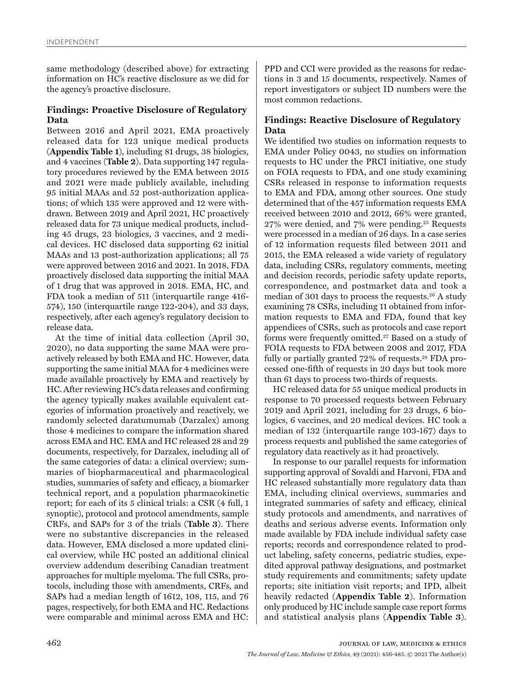same methodology (described above) for extracting information on HC's reactive disclosure as we did for the agency's proactive disclosure.

### **Findings: Proactive Disclosure of Regulatory Data**

Between 2016 and April 2021, EMA proactively released data for 123 unique medical products (**Appendix Table 1**), including 81 drugs, 38 biologics, and 4 vaccines (**Table 2**). Data supporting 147 regulatory procedures reviewed by the EMA between 2015 and 2021 were made publicly available, including 95 initial MAAs and 52 post-authorization applications; of which 135 were approved and 12 were withdrawn. Between 2019 and April 2021, HC proactively released data for 73 unique medical products, including 45 drugs, 23 biologics, 3 vaccines, and 2 medical devices. HC disclosed data supporting 62 initial MAAs and 13 post-authorization applications; all 75 were approved between 2016 and 2021. In 2018, FDA proactively disclosed data supporting the initial MAA of 1 drug that was approved in 2018. EMA, HC, and FDA took a median of 511 (interquartile range 416- 574), 150 (interquartile range 122-204), and 33 days, respectively, after each agency's regulatory decision to release data.

At the time of initial data collection (April 30, 2020), no data supporting the same MAA were proactively released by both EMA and HC. However, data supporting the same initial MAA for 4 medicines were made available proactively by EMA and reactively by HC. After reviewing HC's data releases and confirming the agency typically makes available equivalent categories of information proactively and reactively, we randomly selected daratumumab (Darzalex) among those 4 medicines to compare the information shared across EMA and HC. EMA and HC released 28 and 29 documents, respectively, for Darzalex, including all of the same categories of data: a clinical overview; summaries of biopharmaceutical and pharmacological studies, summaries of safety and efficacy, a biomarker technical report, and a population pharmacokinetic report; for each of its 5 clinical trials: a CSR (4 full, 1 synoptic), protocol and protocol amendments, sample CRFs, and SAPs for 3 of the trials (**Table 3**). There were no substantive discrepancies in the released data. However, EMA disclosed a more updated clinical overview, while HC posted an additional clinical overview addendum describing Canadian treatment approaches for multiple myeloma. The full CSRs, protocols, including those with amendments, CRFs, and SAPs had a median length of 1612, 108, 115, and 76 pages, respectively, for both EMA and HC. Redactions were comparable and minimal across EMA and HC:

PPD and CCI were provided as the reasons for redactions in 3 and 15 documents, respectively. Names of report investigators or subject ID numbers were the most common redactions.

# **Findings: Reactive Disclosure of Regulatory Data**

We identified two studies on information requests to EMA under Policy 0043, no studies on information requests to HC under the PRCI initiative, one study on FOIA requests to FDA, and one study examining CSRs released in response to information requests to EMA and FDA, among other sources. One study determined that of the 457 information requests EMA received between 2010 and 2012, 66% were granted, 27% were denied, and 7% were pending.25 Requests were processed in a median of 26 days. In a case series of 12 information requests filed between 2011 and 2015, the EMA released a wide variety of regulatory data, including CSRs, regulatory comments, meeting and decision records, periodic safety update reports, correspondence, and postmarket data and took a median of 301 days to process the requests.26 A study examining 78 CSRs, including 11 obtained from information requests to EMA and FDA, found that key appendices of CSRs, such as protocols and case report forms were frequently omitted.27 Based on a study of FOIA requests to FDA between 2008 and 2017, FDA fully or partially granted 72% of requests.<sup>28</sup> FDA processed one-fifth of requests in 20 days but took more than 61 days to process two-thirds of requests.

HC released data for 55 unique medical products in response to 70 processed requests between February 2019 and April 2021, including for 23 drugs, 6 biologics, 6 vaccines, and 20 medical devices. HC took a median of 132 (interquartile range 103-167) days to process requests and published the same categories of regulatory data reactively as it had proactively.

In response to our parallel requests for information supporting approval of Sovaldi and Harvoni, FDA and HC released substantially more regulatory data than EMA, including clinical overviews, summaries and integrated summaries of safety and efficacy, clinical study protocols and amendments, and narratives of deaths and serious adverse events. Information only made available by FDA include individual safety case reports; records and correspondence related to product labeling, safety concerns, pediatric studies, expedited approval pathway designations, and postmarket study requirements and commitments; safety update reports; site initiation visit reports; and IPD, albeit heavily redacted (**Appendix Table 2**). Information only produced by HC include sample case report forms and statistical analysis plans (**Appendix Table 3**).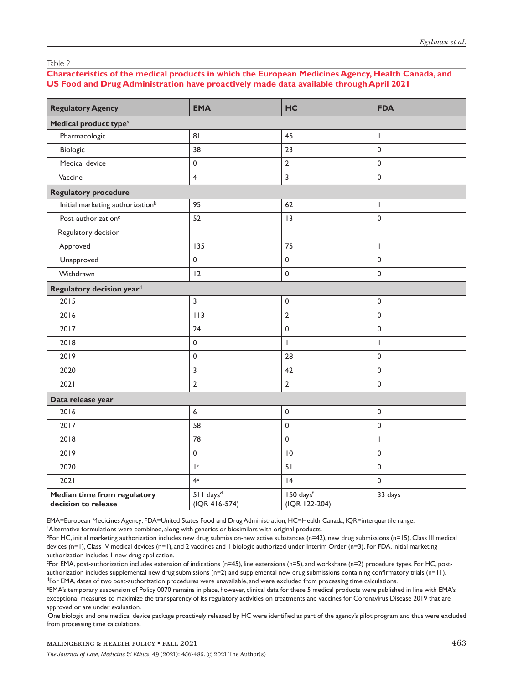### Table 2

# **Characteristics of the medical products in which the European Medicines Agency, Health Canada, and US Food and Drug Administration have proactively made data available through April 2021**

| <b>Regulatory Agency</b>                           | <b>EMA</b>                               | HC                         | <b>FDA</b>                                                                                                                                                                                                                                                                                                                                                                       |
|----------------------------------------------------|------------------------------------------|----------------------------|----------------------------------------------------------------------------------------------------------------------------------------------------------------------------------------------------------------------------------------------------------------------------------------------------------------------------------------------------------------------------------|
| Medical product type <sup>a</sup>                  |                                          |                            |                                                                                                                                                                                                                                                                                                                                                                                  |
| Pharmacologic                                      | 81                                       | 45                         | $\begin{array}{c} \rule{0pt}{2.5ex} \rule{0pt}{2.5ex} \rule{0pt}{2.5ex} \rule{0pt}{2.5ex} \rule{0pt}{2.5ex} \rule{0pt}{2.5ex} \rule{0pt}{2.5ex} \rule{0pt}{2.5ex} \rule{0pt}{2.5ex} \rule{0pt}{2.5ex} \rule{0pt}{2.5ex} \rule{0pt}{2.5ex} \rule{0pt}{2.5ex} \rule{0pt}{2.5ex} \rule{0pt}{2.5ex} \rule{0pt}{2.5ex} \rule{0pt}{2.5ex} \rule{0pt}{2.5ex} \rule{0pt}{2.5ex} \rule{0$ |
| Biologic                                           | 38                                       | 23                         | $\mathbf 0$                                                                                                                                                                                                                                                                                                                                                                      |
| Medical device                                     | $\pmb{0}$                                | $\mathbf 2$                | $\mathbf 0$                                                                                                                                                                                                                                                                                                                                                                      |
| Vaccine                                            | $\overline{4}$                           | 3                          | $\mathsf 0$                                                                                                                                                                                                                                                                                                                                                                      |
| <b>Regulatory procedure</b>                        |                                          |                            |                                                                                                                                                                                                                                                                                                                                                                                  |
| Initial marketing authorization <sup>b</sup>       | 95                                       | 62                         | T                                                                                                                                                                                                                                                                                                                                                                                |
| Post-authorization <sup>c</sup>                    | 52                                       | 3                          | $\pmb{0}$                                                                                                                                                                                                                                                                                                                                                                        |
| Regulatory decision                                |                                          |                            |                                                                                                                                                                                                                                                                                                                                                                                  |
| Approved                                           | 135                                      | 75                         | $\begin{array}{c} \rule{0pt}{2.5ex} \rule{0pt}{2.5ex} \rule{0pt}{2.5ex} \rule{0pt}{2.5ex} \rule{0pt}{2.5ex} \rule{0pt}{2.5ex} \rule{0pt}{2.5ex} \rule{0pt}{2.5ex} \rule{0pt}{2.5ex} \rule{0pt}{2.5ex} \rule{0pt}{2.5ex} \rule{0pt}{2.5ex} \rule{0pt}{2.5ex} \rule{0pt}{2.5ex} \rule{0pt}{2.5ex} \rule{0pt}{2.5ex} \rule{0pt}{2.5ex} \rule{0pt}{2.5ex} \rule{0pt}{2.5ex} \rule{0$ |
| Unapproved                                         | $\pmb{0}$                                | $\pmb{0}$                  | $\pmb{0}$                                                                                                                                                                                                                                                                                                                                                                        |
| Withdrawn                                          | 12                                       | $\pmb{0}$                  | $\mathsf 0$                                                                                                                                                                                                                                                                                                                                                                      |
| Regulatory decision yeard                          |                                          |                            |                                                                                                                                                                                                                                                                                                                                                                                  |
| 2015                                               | 3                                        | $\pmb{0}$                  | $\pmb{0}$                                                                                                                                                                                                                                                                                                                                                                        |
| 2016                                               | 113                                      | $\overline{2}$             | $\mathbf 0$                                                                                                                                                                                                                                                                                                                                                                      |
| 2017                                               | 24                                       | $\pmb{0}$                  | $\pmb{0}$                                                                                                                                                                                                                                                                                                                                                                        |
| 2018                                               | $\pmb{0}$                                | $\mathbf{I}$               | I                                                                                                                                                                                                                                                                                                                                                                                |
| 2019                                               | $\pmb{0}$                                | 28                         | $\pmb{0}$                                                                                                                                                                                                                                                                                                                                                                        |
| 2020                                               | 3                                        | 42                         | $\pmb{0}$                                                                                                                                                                                                                                                                                                                                                                        |
| 2021                                               | $\mathbf 2$                              | $\mathbf 2$                | $\mathbf 0$                                                                                                                                                                                                                                                                                                                                                                      |
| Data release year                                  |                                          |                            |                                                                                                                                                                                                                                                                                                                                                                                  |
| 2016                                               | $\boldsymbol{6}$                         | $\pmb{0}$                  | $\pmb{0}$                                                                                                                                                                                                                                                                                                                                                                        |
| 2017                                               | 58                                       | $\pmb{0}$                  | $\pmb{0}$                                                                                                                                                                                                                                                                                                                                                                        |
| 2018                                               | 78                                       | $\pmb{0}$                  | $\overline{1}$                                                                                                                                                                                                                                                                                                                                                                   |
| 2019                                               | $\pmb{0}$                                | 0                          | $\pmb{0}$                                                                                                                                                                                                                                                                                                                                                                        |
| 2020                                               | $\vert$ e                                | 51                         | $\mathbf 0$                                                                                                                                                                                                                                                                                                                                                                      |
| 2021                                               | 4 <sup>e</sup>                           | 4                          | $\mathbf 0$                                                                                                                                                                                                                                                                                                                                                                      |
| Median time from regulatory<br>decision to release | 511 days <sup>d</sup><br>$(IQR 416-574)$ | 150 daysf<br>(IQR 122-204) | 33 days                                                                                                                                                                                                                                                                                                                                                                          |

EMA=European Medicines Agency; FDA=United States Food and Drug Administration; HC=Health Canada; IQR=interquartile range.

<sup>a</sup>Alternative formulations were combined, along with generics or biosimilars with original products.

 $b$ For HC, initial marketing authorization includes new drug submission-new active substances (n=42), new drug submissions (n=15), Class III medical devices (n=1), Class IV medical devices (n=1), and 2 vaccines and 1 biologic authorized under Interim Order (n=3). For FDA, initial marketing authorization includes 1 new drug application.

c For EMA, post-authorization includes extension of indications (n=45), line extensions (n=5), and workshare (n=2) procedure types. For HC, postauthorization includes supplemental new drug submissions (n=2) and supplemental new drug submissions containing confirmatory trials (n=11). <sup>d</sup>For EMA, dates of two post-authorization procedures were unavailable, and were excluded from processing time calculations.

<sup>e</sup>EMA's temporary suspension of Policy 0070 remains in place, however, clinical data for these 5 medical products were published in line with EMA's exceptional measures to maximize the transparency of its regulatory activities on treatments and vaccines for Coronavirus Disease 2019 that are approved or are under evaluation.

f One biologic and one medical device package proactively released by HC were identified as part of the agency's pilot program and thus were excluded from processing time calculations.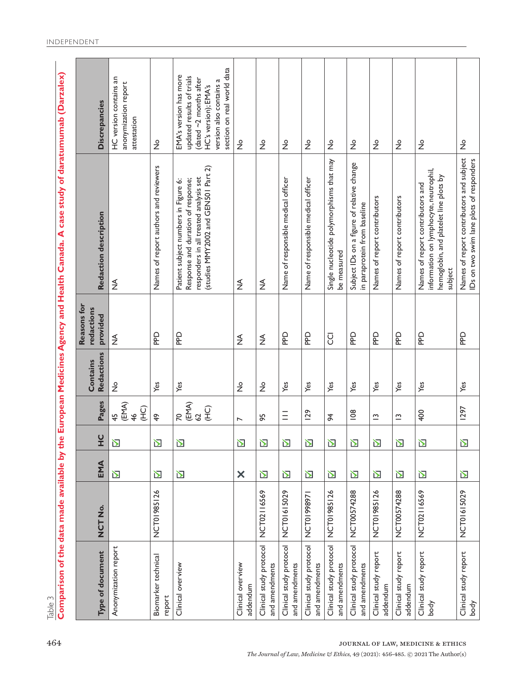Table 3

Comparison of the data made available by the European Medicines Agency and Health Canada. A case study of daratumumab (Darzalex) **Comparison of the data made available by the European Medicines Agency and Health Canada. A case study of daratumumab (Darzalex)**

| Type of document                          | o<br>NUZ<br>NUZ | EMA      | $\cup$<br>Ĭ             | Pages                                                                       | <b>Redactions</b><br>Contains | Reasons for<br>redactions<br>provided | Redaction description                                                                                                                                       | <b>Discrepancies</b>                                                                                                                                                 |
|-------------------------------------------|-----------------|----------|-------------------------|-----------------------------------------------------------------------------|-------------------------------|---------------------------------------|-------------------------------------------------------------------------------------------------------------------------------------------------------------|----------------------------------------------------------------------------------------------------------------------------------------------------------------------|
| Anonymization report                      |                 | $\sum$   | $\sum$                  | (EMA)<br>G <sub>1</sub><br>46<br>45                                         | $\stackrel{\circ}{\succeq}$   | $\lessgtr$                            | $\stackrel{\triangleleft}{\geq}$                                                                                                                            | HC version contains an<br>anonymization report<br>attestation                                                                                                        |
| Biomarker technical<br>report             | NCT01985126     | 丒        | Ŋ                       | $\frac{6}{7}$                                                               | Yes                           | 요                                     | Names of report authors and reviewers                                                                                                                       | $\frac{\circ}{Z}$                                                                                                                                                    |
| Clinical overview                         |                 | $\sum$   | $\overline{\mathbf{D}}$ | $\begin{array}{c}\n\text{(EMA)}\\ \n62\n\end{array}$<br>$\overline{C}$<br>R | Yes                           | 요                                     | (studies MMY2002 and GEN501 Part 2)<br>responders in all treated analysis set<br>Response and duration of response;<br>Patient subject numbers in Figure 6: | section on real world data<br>EMA's version has more<br>updated results of trials<br>(dated $\sim$ 2 months after<br>version also contains a<br>HC's version); EMA's |
| Clinical overview<br>addendum             |                 | $\times$ | Ŋ                       | $\overline{ }$                                                              | $\frac{1}{2}$                 | ≸                                     | ≸                                                                                                                                                           | $\frac{1}{2}$                                                                                                                                                        |
| Clinical study protocol<br>and amendments | NCT02116569     | $\sum$   | $\sum$                  | 95                                                                          | $\frac{1}{2}$                 | ₹                                     | $\frac{4}{2}$                                                                                                                                               | $\stackrel{\circ}{\mathsf{Z}}$                                                                                                                                       |
| Clinical study protocol<br>and amendments | NCT01615029     | $\sum$   | $\sum$                  | $\equiv$                                                                    | Yes                           | 요                                     | Name of responsible medical officer                                                                                                                         | $\frac{1}{2}$                                                                                                                                                        |
| Clinical study protocol<br>and amendments | NCT01998971     | $\sum$   | $\sum$                  | <b>129</b>                                                                  | Yes                           | РP                                    | Name of responsible medical officer                                                                                                                         | $\stackrel{\circ}{\mathcal{Z}}$                                                                                                                                      |
| Clinical study protocol<br>and amendments | NCT01985126     | $\sum$   | $\sum$                  | $\frac{4}{5}$                                                               | Yes                           | <b>U</b>                              | Single nucleotide polymorphisms that may<br>be measured                                                                                                     | $\frac{1}{2}$                                                                                                                                                        |
| Clinical study protocol<br>and amendments | NCT00574288     | $\sum$   | $\sum$                  | 108                                                                         | Yes                           | <b>Dad</b>                            | Subject IDs on a figure of relative change<br>in paraprotein from baseline                                                                                  | $\stackrel{\circ}{\mathsf{Z}}$                                                                                                                                       |
| Clinical study report<br>addendum         | NCT01985126     | $\sum$   | $\sum$                  | $\tilde{c}$                                                                 | Yes                           | <b>Dad</b>                            | Names of report contributors                                                                                                                                | $\frac{1}{2}$                                                                                                                                                        |
| Clinical study report<br>addendum         | NCT00574288     | $\sum$   | $\sum$                  | $\tilde{ }$                                                                 | Yes                           | <u>ned</u>                            | Names of report contributors                                                                                                                                | $\frac{1}{2}$                                                                                                                                                        |
| Clinical study report<br>body             | NCT02116569     | $\sum$   | $\sum$                  | 400                                                                         | Yes                           | 요                                     | information on lymphocyte, neutrophil,<br>hemoglobin, and platelet line plots by<br>Names of report contributors and<br>subject                             | $\frac{1}{2}$                                                                                                                                                        |
| Clinical study report<br>body             | NCT01615029     | $\sum$   | $\sum$                  | 1297                                                                        | Yes                           | 요                                     | Names of report contributors and subject<br>IDs on two swim lane plots of responders                                                                        | $\overset{\circ}{\mathsf{Z}}$                                                                                                                                        |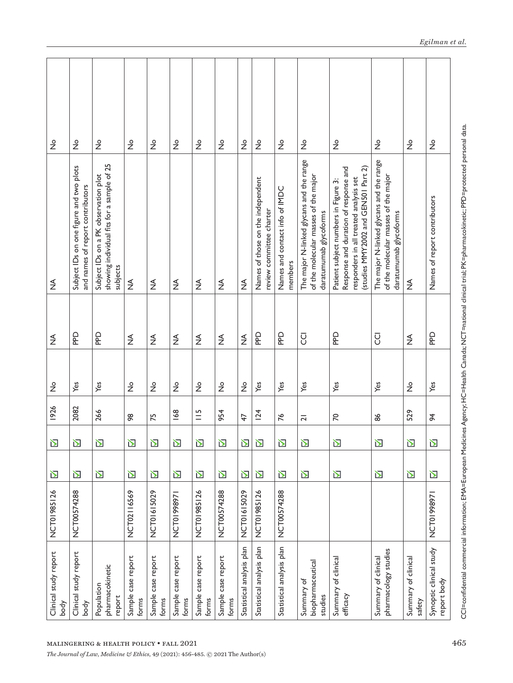| $\stackrel{\mathtt{o}}{z}$    | $\frac{1}{2}$                                                               | $\frac{0}{2}$                                                                                                              | $\frac{1}{2}$               | $\frac{1}{2}$               | $\stackrel{\circ}{\mathsf{Z}}$ | $\frac{1}{2}$               | $\overset{\circ}{\mathsf{Z}}$ | $\stackrel{\circ}{\mathsf{Z}}$ | $\frac{0}{2}$                                                 | $\stackrel{\circ}{\mathcal{Z}}$           | $\frac{1}{2}$                                                                                              | $\frac{1}{2}$                                                                                                                                                  | $\frac{1}{2}$                                                                                              | $\frac{1}{2}$                     | $\frac{1}{2}$                          |
|-------------------------------|-----------------------------------------------------------------------------|----------------------------------------------------------------------------------------------------------------------------|-----------------------------|-----------------------------|--------------------------------|-----------------------------|-------------------------------|--------------------------------|---------------------------------------------------------------|-------------------------------------------|------------------------------------------------------------------------------------------------------------|----------------------------------------------------------------------------------------------------------------------------------------------------------------|------------------------------------------------------------------------------------------------------------|-----------------------------------|----------------------------------------|
| $\frac{4}{2}$                 | Subject IDs on one figure and two plots<br>and names of report contributors | showing individual fits for a sample of 25<br>Subject IDs on a PK observation plot<br>subjects                             | ≸                           | $\lessgtr$                  | $\frac{4}{2}$                  | $\frac{1}{2}$               | $\lessgtr$                    | $\frac{1}{2}$                  | Names of those on the independent<br>review committee charter | Names and contact info of IMDC<br>members | The major N-linked glycans and the range<br>of the molecular masses of the major<br>daratumumab glycoforms | Response and duration of response and<br>(studies MMY2002 and GEN501 Part 2)<br>responders in all treated analysis set<br>Patient subject numbers in Figure 3: | The major N-linked glycans and the range<br>of the molecular masses of the major<br>daratumumab glycoforms | $\frac{\sphericalangle}{\succeq}$ | Names of report contributors           |
| ₹                             | БP                                                                          | 요                                                                                                                          | ₹                           | ₹                           | $\lessgtr$                     | ₹                           | ₹                             | $\lessgtr$                     | 요                                                             | 요                                         | g                                                                                                          | 요                                                                                                                                                              | g                                                                                                          | ≸                                 | 요                                      |
| $\frac{1}{2}$                 | Yes                                                                         | Yes                                                                                                                        | $\frac{\circ}{\mathsf{Z}}$  | $\frac{9}{2}$               | $\frac{1}{2}$                  | $\stackrel{\mathtt{o}}{z}$  | $\stackrel{\circ}{\succeq}$   | $\stackrel{\circ}{\succeq}$    | Yes                                                           | Yes                                       | Yes                                                                                                        | Yes                                                                                                                                                            | Yes                                                                                                        | $\frac{1}{2}$                     | Yes                                    |
| 1926                          | 2082                                                                        | 266                                                                                                                        | 86                          | 75                          | 168                            | $\frac{15}{1}$              | 954                           | 47                             | 124                                                           | 76                                        | $\overline{2}$                                                                                             | $\mathcal{R}$                                                                                                                                                  | 86                                                                                                         | 529                               | $\frac{4}{5}$                          |
| $\sum$                        | $\sum$                                                                      | 区                                                                                                                          | $\sum$                      | 丒                           | 丒                              | $\sum$                      | $\sum$                        | $\sum$                         | $\sum$                                                        | $\sum$                                    | $\sum$                                                                                                     | $\sum$                                                                                                                                                         | $\sum$                                                                                                     | $\sum$                            | $\sum$                                 |
| $\sum$                        | $\sum$                                                                      | $\sum$                                                                                                                     | $\overline{\mathbf{D}}$     | $\sum$                      | 丒                              | $\sum$                      | $\sum$                        | $\sum$                         | $\sum$                                                        | 丒                                         | $\sum$                                                                                                     | 丒                                                                                                                                                              | 丒                                                                                                          | $\mathbf{\Sigma}$                 | $\sum$                                 |
| NCT01985126                   | NCT00574288                                                                 |                                                                                                                            | NCT02116569                 | NCT01615029                 | NCT01998971                    | NCT01985126                 | NCT00574288                   | NCT01615029                    | NCT01985126                                                   | NCT00574288                               |                                                                                                            |                                                                                                                                                                |                                                                                                            |                                   | NCT01998971                            |
| Clinical study report<br>body | Clinical study report<br>body                                               | pharmacokinetic<br>Population<br>report                                                                                    | Sample case report<br>forms | Sample case report<br>forms | Sample case report<br>forms    | Sample case report<br>forms | Sample case report<br>forms   | Statistical analysis plan      | Statistical analysis plan                                     | Statistical analysis plan                 | biopharmaceutical<br>Summary of<br>studies                                                                 | of clinical<br>Summary<br>efficacy                                                                                                                             | pharmacology studies<br>Summary of clinical                                                                | Summary of clinical<br>safety     | Synoptic clinical study<br>report body |
|                               |                                                                             | MALINGERING & HEALTH POLICY . FALL 2021<br>The Journal of Law, Medicine & Ethics, 49 (2021): 456-485. © 2021 The Author(s) |                             |                             |                                |                             |                               |                                |                                                               |                                           |                                                                                                            |                                                                                                                                                                |                                                                                                            |                                   | $\overline{4}$                         |

CCI=confidential commercial information; EMA=European Medicines Agency; HC=Health Canada; NCT=national clinical trial; PK=pharmacokinetic; PPD=protected personal data. CCI=confi dential commercial information; EMA=European Medicines Agency; HC=Health Canada; NCT=national clinical trial; PK=pharmacokinetic; PPD=protected personal data.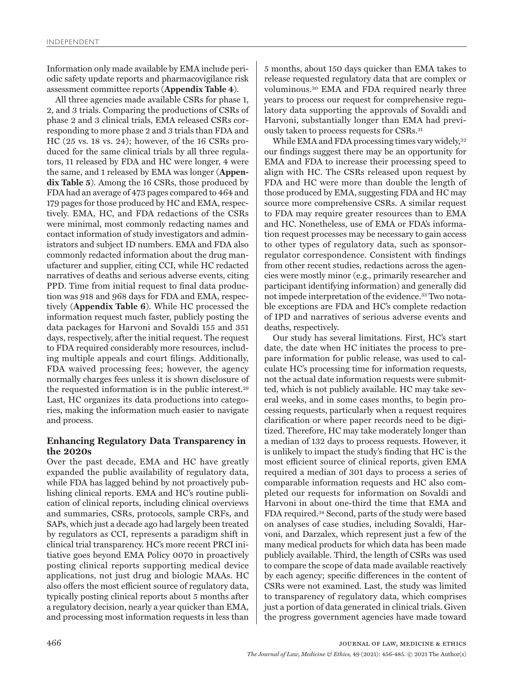Information only made available by EMA include periodic safety update reports and pharmacovigilance risk assessment committee reports (**Appendix Table 4**).

All three agencies made available CSRs for phase 1, 2, and 3 trials. Comparing the productions of CSRs of phase 2 and 3 clinical trials, EMA released CSRs corresponding to more phase 2 and 3 trials than FDA and HC (25 vs. 18 vs. 24); however, of the 16 CSRs produced for the same clinical trials by all three regulators, 11 released by FDA and HC were longer, 4 were the same, and 1 released by EMA was longer (**Appendix Table 5**). Among the 16 CSRs, those produced by FDA had an average of 473 pages compared to 464 and 179 pages for those produced by HC and EMA, respectively. EMA, HC, and FDA redactions of the CSRs were minimal, most commonly redacting names and contact information of study investigators and administrators and subject ID numbers. EMA and FDA also commonly redacted information about the drug manufacturer and supplier, citing CCI, while HC redacted narratives of deaths and serious adverse events, citing PPD. Time from initial request to final data production was 918 and 968 days for FDA and EMA, respectively (**Appendix Table 6**). While HC processed the information request much faster, publicly posting the data packages for Harvoni and Sovaldi 155 and 351 days, respectively, after the initial request. The request to FDA required considerably more resources, including multiple appeals and court filings. Additionally, FDA waived processing fees; however, the agency normally charges fees unless it is shown disclosure of the requested information is in the public interest.29 Last, HC organizes its data productions into categories, making the information much easier to navigate and process.

# **Enhancing Regulatory Data Transparency in the 2020s**

Over the past decade, EMA and HC have greatly expanded the public availability of regulatory data, while FDA has lagged behind by not proactively publishing clinical reports. EMA and HC's routine publication of clinical reports, including clinical overviews and summaries, CSRs, protocols, sample CRFs, and SAPs, which just a decade ago had largely been treated by regulators as CCI, represents a paradigm shift in clinical trial transparency. HC's more recent PRCI initiative goes beyond EMA Policy 0070 in proactively posting clinical reports supporting medical device applications, not just drug and biologic MAAs. HC also offers the most efficient source of regulatory data, typically posting clinical reports about 5 months after a regulatory decision, nearly a year quicker than EMA, and processing most information requests in less than

5 months, about 150 days quicker than EMA takes to release requested regulatory data that are complex or voluminous.30 EMA and FDA required nearly three years to process our request for comprehensive regulatory data supporting the approvals of Sovaldi and Harvoni, substantially longer than EMA had previously taken to process requests for CSRs.31

While EMA and FDA processing times vary widely, 32 our findings suggest there may be an opportunity for EMA and FDA to increase their processing speed to align with HC. The CSRs released upon request by FDA and HC were more than double the length of those produced by EMA, suggesting FDA and HC may source more comprehensive CSRs. A similar request to FDA may require greater resources than to EMA and HC. Nonetheless, use of EMA or FDA's information request processes may be necessary to gain access to other types of regulatory data, such as sponsorregulator correspondence. Consistent with findings from other recent studies, redactions across the agencies were mostly minor (e.g., primarily researcher and participant identifying information) and generally did not impede interpretation of the evidence.33 Two notable exceptions are FDA and HC's complete redaction of IPD and narratives of serious adverse events and deaths, respectively.

Our study has several limitations. First, HC's start date, the date when HC initiates the process to prepare information for public release, was used to calculate HC's processing time for information requests, not the actual date information requests were submitted, which is not publicly available. HC may take several weeks, and in some cases months, to begin processing requests, particularly when a request requires clarification or where paper records need to be digitized. Therefore, HC may take moderately longer than a median of 132 days to process requests. However, it is unlikely to impact the study's finding that HC is the most efficient source of clinical reports, given EMA required a median of 301 days to process a series of comparable information requests and HC also completed our requests for information on Sovaldi and Harvoni in about one-third the time that EMA and FDA required.34 Second, parts of the study were based on analyses of case studies, including Sovaldi, Harvoni, and Darzalex, which represent just a few of the many medical products for which data has been made publicly available. Third, the length of CSRs was used to compare the scope of data made available reactively by each agency; specific differences in the content of CSRs were not examined. Last, the study was limited to transparency of regulatory data, which comprises just a portion of data generated in clinical trials. Given the progress government agencies have made toward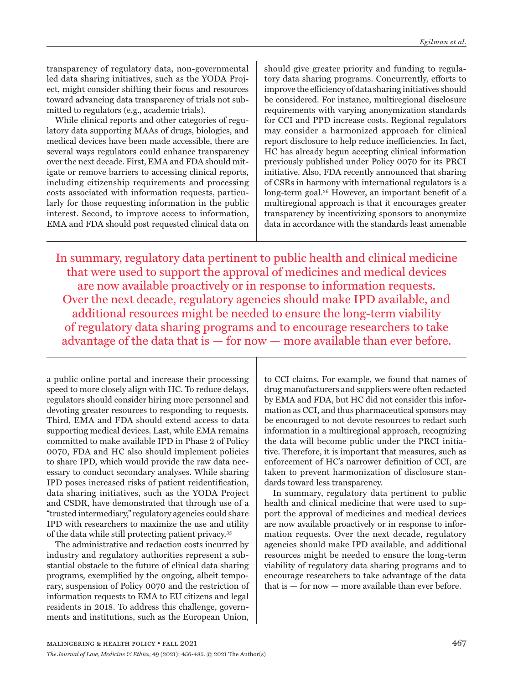transparency of regulatory data, non-governmental led data sharing initiatives, such as the YODA Project, might consider shifting their focus and resources toward advancing data transparency of trials not submitted to regulators (e.g., academic trials).

While clinical reports and other categories of regulatory data supporting MAAs of drugs, biologics, and medical devices have been made accessible, there are several ways regulators could enhance transparency over the next decade. First, EMA and FDA should mitigate or remove barriers to accessing clinical reports, including citizenship requirements and processing costs associated with information requests, particularly for those requesting information in the public interest. Second, to improve access to information, EMA and FDA should post requested clinical data on

should give greater priority and funding to regulatory data sharing programs. Concurrently, efforts to improve the efficiency of data sharing initiatives should be considered. For instance, multiregional disclosure requirements with varying anonymization standards for CCI and PPD increase costs. Regional regulators may consider a harmonized approach for clinical report disclosure to help reduce inefficiencies. In fact, HC has already begun accepting clinical information previously published under Policy 0070 for its PRCI initiative. Also, FDA recently announced that sharing of CSRs in harmony with international regulators is a long-term goal.36 However, an important benefit of a multiregional approach is that it encourages greater transparency by incentivizing sponsors to anonymize data in accordance with the standards least amenable

In summary, regulatory data pertinent to public health and clinical medicine that were used to support the approval of medicines and medical devices are now available proactively or in response to information requests. Over the next decade, regulatory agencies should make IPD available, and additional resources might be needed to ensure the long-term viability of regulatory data sharing programs and to encourage researchers to take advantage of the data that is — for now — more available than ever before.

a public online portal and increase their processing speed to more closely align with HC. To reduce delays, regulators should consider hiring more personnel and devoting greater resources to responding to requests. Third, EMA and FDA should extend access to data supporting medical devices. Last, while EMA remains committed to make available IPD in Phase 2 of Policy 0070, FDA and HC also should implement policies to share IPD, which would provide the raw data necessary to conduct secondary analyses. While sharing IPD poses increased risks of patient reidentification, data sharing initiatives, such as the YODA Project and CSDR, have demonstrated that through use of a "trusted intermediary," regulatory agencies could share IPD with researchers to maximize the use and utility of the data while still protecting patient privacy.35

The administrative and redaction costs incurred by industry and regulatory authorities represent a substantial obstacle to the future of clinical data sharing programs, exemplified by the ongoing, albeit temporary, suspension of Policy 0070 and the restriction of information requests to EMA to EU citizens and legal residents in 2018. To address this challenge, governments and institutions, such as the European Union,

to CCI claims. For example, we found that names of drug manufacturers and suppliers were often redacted by EMA and FDA, but HC did not consider this information as CCI, and thus pharmaceutical sponsors may be encouraged to not devote resources to redact such information in a multiregional approach, recognizing the data will become public under the PRCI initiative. Therefore, it is important that measures, such as enforcement of HC's narrower definition of CCI, are taken to prevent harmonization of disclosure standards toward less transparency.

In summary, regulatory data pertinent to public health and clinical medicine that were used to support the approval of medicines and medical devices are now available proactively or in response to information requests. Over the next decade, regulatory agencies should make IPD available, and additional resources might be needed to ensure the long-term viability of regulatory data sharing programs and to encourage researchers to take advantage of the data that is — for now — more available than ever before.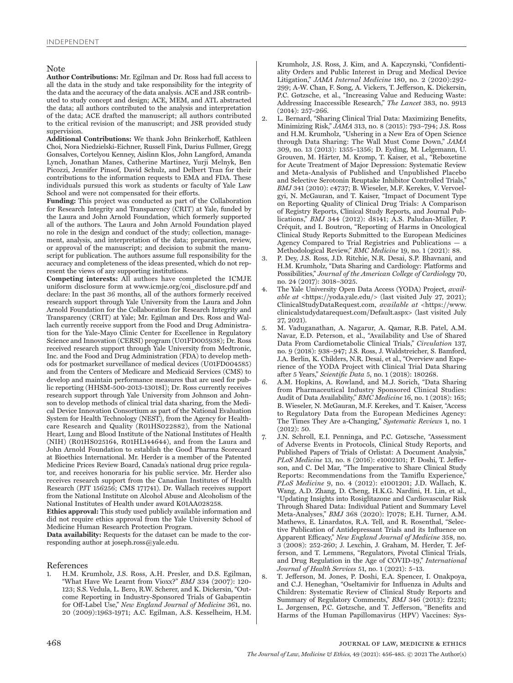#### Note

**Author Contributions:** Mr. Egilman and Dr. Ross had full access to all the data in the study and take responsibility for the integrity of the data and the accuracy of the data analysis. ACE and JSR contributed to study concept and design; ACE, MEM, and ATL abstracted the data; all authors contributed to the analysis and interpretation of the data; ACE drafted the manuscript; all authors contributed to the critical revision of the manuscript; and JSR provided study supervision.

**Additional Contributions:** We thank John Brinkerhoff, Kathleen Choi, Nora Niedzielski-Eichner, Russell Fink, Darius Fullmer, Gregg Gonsalves, Cortelyou Kenney, Aislinn Klos, John Langford, Amanda Lynch, Jonathan Manes, Catherine Martinez, Yurji Melnyk, Ben Picozzi, Jennifer Pinsof, David Schulz, and Delbert Tran for their contributions to the information requests to EMA and FDA. These individuals pursued this work as students or faculty of Yale Law School and were not compensated for their efforts.

**Funding:** This project was conducted as part of the Collaboration for Research Integrity and Transparency (CRIT) at Yale, funded by the Laura and John Arnold Foundation, which formerly supported all of the authors. The Laura and John Arnold Foundation played no role in the design and conduct of the study; collection, management, analysis, and interpretation of the data; preparation, review, or approval of the manuscript; and decision to submit the manuscript for publication. The authors assume full responsibility for the accuracy and completeness of the ideas presented, which do not represent the views of any supporting institutions.

**Competing interests:** All authors have completed the ICMJE uniform disclosure form at www.icmje.org/coi\_disclosure.pdf and declare: In the past 36 months, all of the authors formerly received research support through Yale University from the Laura and John Arnold Foundation for the Collaboration for Research Integrity and Transparency (CRIT) at Yale; Mr. Egilman and Drs. Ross and Wallach currently receive support from the Food and Drug Administration for the Yale-Mayo Clinic Center for Excellence in Regulatory Science and Innovation (CERSI) program (U01FD005938); Dr. Ross received research support through Yale University from Medtronic, Inc. and the Food and Drug Administration (FDA) to develop methods for postmarket surveillance of medical devices (U01FD004585) and from the Centers of Medicare and Medicaid Services (CMS) to develop and maintain performance measures that are used for public reporting (HHSM-500-2013-13018I); Dr. Ross currently receives research support through Yale University from Johnson and Johnson to develop methods of clinical trial data sharing, from the Medical Device Innovation Consortium as part of the National Evaluation System for Health Technology (NEST), from the Agency for Healthcare Research and Quality (R01HS022882), from the National Heart, Lung and Blood Institute of the National Institutes of Health (NIH) (R01HS025164, R01HL144644), and from the Laura and John Arnold Foundation to establish the Good Pharma Scorecard at Bioethics International. Mr. Herder is a member of the Patented Medicine Prices Review Board, Canada's national drug price regulator, and receives honoraria for his public service. Mr. Herder also receives research support from the Canadian Institutes of Health Research (PJT 156256; CMS 171741). Dr. Wallach receives support from the National Institute on Alcohol Abuse and Alcoholism of the National Institutes of Health under award K01AA028258.

**Ethics approval:** This study used publicly available information and did not require ethics approval from the Yale University School of Medicine Human Research Protection Program.

**Data availability:** Requests for the dataset can be made to the corresponding author at joseph.ross@yale.edu.

#### References

1. H.M. Krumholz, J.S. Ross, A.H. Presler, and D.S. Egilman, "What Have We Learnt from Vioxx?" *BMJ* 334 (2007): 120- 123; S.S. Vedula, L. Bero, R.W. Scherer, and K. Dickersin, "Outcome Reporting in Industry-Sponsored Trials of Gabapentin for Off-Label Use," *New England Journal of Medicine* 361, no. 20 (2009):1963-1971; A.C. Egilman, A.S. Kesselheim, H.M.

Krumholz, J.S. Ross, J. Kim, and A. Kapczynski, "Confidentiality Orders and Public Interest in Drug and Medical Device Litigation," *JAMA Internal Medicine* 180, no. 2 (2020):292- 299; A-W. Chan, F. Song, A. Vickers, T. Jefferson, K. Dickersin, P.C. Gøtzsche, et al., "Increasing Value and Reducing Waste: Addressing Inaccessible Research," *The Lancet* 383, no. 9913 (2014): 257–266.

- 2. L. Bernard, "Sharing Clinical Trial Data: Maximizing Benefits, Minimizing Risk," *JAMA* 313, no. 8 (2015): 793–794; J.S. Ross and H.M. Krumholz, "Ushering in a New Era of Open Science through Data Sharing: The Wall Must Come Down," *JAMA* 309, no. 13 (2013): 1355–1356; D. Eyding, M. Lelgemann, U. Grouven, M. Härter, M. Kromp, T. Kaiser, et al., "Reboxetine for Acute Treatment of Major Depression: Systematic Review and Meta-Analysis of Published and Unpublished Placebo and Selective Serotonin Reuptake Inhibitor Controlled Trials," *BMJ* 341 (2010): c4737; B. Wieseler, M.F. Kerekes, V. Vervoelgyi, N. McGauran, and T. Kaiser, "Impact of Document Type on Reporting Quality of Clinical Drug Trials: A Comparison of Registry Reports, Clinical Study Reports, and Journal Publications," *BMJ* 344 (2012): d8141; A.S. Paludan-Müller, P. Créquit, and I. Boutron, "Reporting of Harms in Oncological Clinical Study Reports Submitted to the European Medicines Agency Compared to Trial Registries and Publications — a Methodological Review," *BMC Medicine* 19, no. 1 (2021): 88.
- 3. P. Dey, J.S. Ross, J.D. Ritchie, N.R. Desai, S.P. Bhavnani, and H.M. Krumholz, "Data Sharing and Cardiology: Platforms and Possibilities," *Journal of the American College of Cardiology* 70, no. 24 (2017): 3018–3025.
- 4. The Yale University Open Data Access (YODA) Project, *available at* <https://yoda.yale.edu/> (last visited July 27, 2021); ClinicalStudyDataRequest.com, *available at* <https://www. clinicalstudydatarequest.com/Default.aspx> (last visited July 27, 2021).
- 5. M. Vaduganathan, A. Nagarur, A. Qamar, R.B. Patel, A.M. Navar, E.D. Peterson, et al., "Availability and Use of Shared Data From Cardiometabolic Clinical Trials," *Circulation* 137, no. 9 (2018): 938–947; J.S. Ross, J. Waldstreicher, S. Bamford, J.A. Berlin, K. Childers, N.R. Desai, et al., "Overview and Experience of the YODA Project with Clinical Trial Data Sharing after 5 Years," *Scientific Data* 5, no. 1 (2018): 180268.
- 6. A.M. Hopkins, A. Rowland, and M.J. Sorich, "Data Sharing from Pharmaceutical Industry Sponsored Clinical Studies: Audit of Data Availability," *BMC Medicine* 16, no. 1 (2018): 165; B. Wieseler, N. McGauran, M.F. Kerekes, and T. Kaiser, "Access to Regulatory Data from the European Medicines Agency: The Times They Are a-Changing," *Systematic Reviews* 1, no. 1 (2012): 50.
- 7. J.N. Schroll, E.I. Penninga, and P.C. Gøtzsche, "Assessment of Adverse Events in Protocols, Clinical Study Reports, and Published Papers of Trials of Orlistat: A Document Analysis," *PLoS Medicine* 13, no. 8 (2016): e1002101; P. Doshi, T. Jefferson, and C. Del Mar, "The Imperative to Share Clinical Study Reports: Recommendations from the Tamiflu Experience, *PLoS Medicine* 9, no. 4 (2012): e1001201; J.D. Wallach, K. Wang, A.D. Zhang, D. Cheng, H.K.G. Nardini, H. Lin, et al., "Updating Insights into Rosiglitazone and Cardiovascular Risk Through Shared Data: Individual Patient and Summary Level Meta-Analyses," *BMJ* 368 (2020): l7078; E.H. Turner, A.M. Mathews, E. Linardatos, R.A. Tell, and R. Rosenthal, "Selective Publication of Antidepressant Trials and its Influence on Apparent Efficacy," *New England Journal of Medicine* 358, no. 3 (2008): 252-260; J. Lexchin, J. Graham, M. Herder, T. Jefferson, and T. Lemmens, "Regulators, Pivotal Clinical Trials, and Drug Regulation in the Age of COVID-19," *International Journal of Health Services* 51, no. 1 (2021): 5–13.
- 8. T. Jefferson, M. Jones, P. Doshi, E.A. Spencer, I. Onakpoya, and C.J. Heneghan, "Oseltamivir for Influenza in Adults and Children: Systematic Review of Clinical Study Reports and Summary of Regulatory Comments," *BMJ* 346 (2013): f2231; L. Jørgensen, P.C. Gøtzsche, and T. Jefferson, "Benefits and Harms of the Human Papillomavirus (HPV) Vaccines: Sys-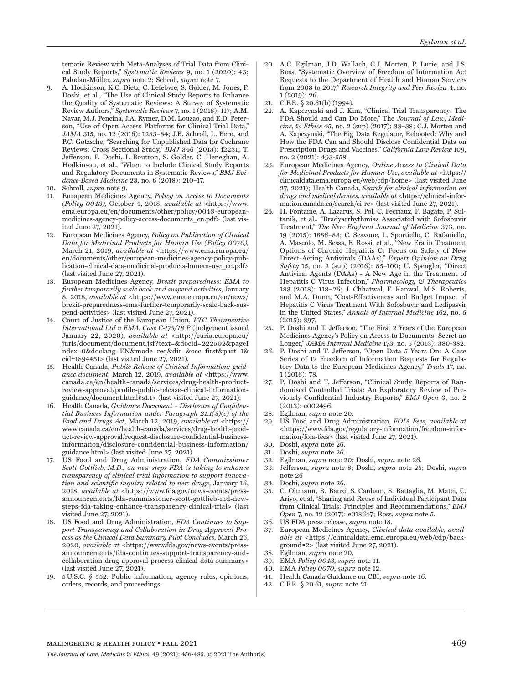tematic Review with Meta-Analyses of Trial Data from Clinical Study Reports," *Systematic Reviews* 9, no. 1 (2020): 43; Paludan-Müller, *supra* note 2; Schroll, *supra* note 7.

- 9. A. Hodkinson, K.C. Dietz, C. Lefebvre, S. Golder, M. Jones, P. Doshi, et al., "The Use of Clinical Study Reports to Enhance the Quality of Systematic Reviews: A Survey of Systematic Review Authors," *Systematic Reviews* 7, no. 1 (2018): 117; A.M. Navar, M.J. Pencina, J.A. Rymer, D.M. Louzao, and E.D. Peterson, "Use of Open Access Platforms for Clinical Trial Data," *JAMA* 315, no. 12 (2016): 1283–84; J.B. Schroll, L. Bero, and P.C. Gøtzsche, "Searching for Unpublished Data for Cochrane Reviews: Cross Sectional Study," *BMJ* 346 (2013): f2231; T. Jefferson, P. Doshi, I. Boutron, S. Golder, C. Heneghan, A. Hodkinson, et al., "When to Include Clinical Study Reports and Regulatory Documents in Systematic Reviews," *BMJ Evidence-Based Medicine* 23, no. 6 (2018): 210–17.
- 10. Schroll, *supra* note 9.
- 11. European Medicines Agency, *Policy on Access to Documents (Policy 0043)*, October 4, 2018, *available at* <https://www. ema.europa.eu/en/documents/other/policy/0043-europeanmedicines-agency-policy-access-documents\_en.pdf> (last visited June 27, 2021).
- 12. European Medicines Agency, *Policy on Publication of Clinical Data for Medicinal Products for Human Use (Policy 0070),* March 21, 2019, *available at* <https://www.ema.europa.eu/ en/documents/other/european-medicines-agency-policy-publication-clinical-data-medicinal-products-human-use\_en.pdf> (last visited June 27, 2021).
- 13. European Medicines Agency, *Brexit preparedness: EMA to further temporarily scale back and suspend activities*, January 8, 2018, *available at* <https://www.ema.europa.eu/en/news/ brexit-preparedness-ema-further-temporarily-scale-back-suspend-activities> (last visited June 27, 2021).
- 14. Court of Justice of the European Union, *PTC Therapeutics International Ltd v EMA*, *Case C-175/18 P* (judgement issued January 22, 2020), *available at* <http://curia.europa.eu/ juris/document/document.jsf?text=&docid=222502&pageI ndex=0&doclang=EN&mode=req&dir=&occ=first&part=1& cid=1894451> (last visited June 27, 2021).
- 15. Health Canada, *Public Release of Clinical Information: guidance document*, March 12, 2019, *available at* <https://www. canada.ca/en/health-canada/services/drug-health-productreview-approval/profile-public-release-clinical-informationguidance/document.html#s1.1> (last visited June 27, 2021).
- 16. Health Canada, *Guidance Document Disclosure of Confidential Business Information under Paragraph 21.1(3)(c) of the Food and Drugs Act*, March 12, 2019, *available at* <https:// www.canada.ca/en/health-canada/services/drug-health-product-review-approval/request-disclosure-confidential-businessinformation/disclosure-confidential-business-information/ guidance.html> (last visited June 27, 2021).
- 17. US Food and Drug Administration, *FDA Commissioner Scott Gottlieb, M.D., on new steps FDA is taking to enhance transparency of clinical trial information to support innovation and scientific inquiry related to new drugs*, January 16, 2018, *available at* <https://www.fda.gov/news-events/pressannouncements/fda-commissioner-scott-gottlieb-md-newsteps-fda-taking-enhance-transparency-clinical-trial> (last visited June 27, 2021).
- 18. US Food and Drug Administration, *FDA Continues to Support Transparency and Collaboration in Drug Approval Process as the Clinical Data Summary Pilot Concludes*, March 26, 2020, *available at* <https://www.fda.gov/news-events/pressannouncements/fda-continues-support-transparency-andcollaboration-drug-approval-process-clinical-data-summary> (last visited June 27, 2021).
- 19. 5U.S.C. § 552. Public information; agency rules, opinions, orders, records, and proceedings.
- 20. A.C. Egilman, J.D. Wallach, C.J. Morten, P. Lurie, and J.S. Ross, "Systematic Overview of Freedom of Information Act Requests to the Department of Health and Human Services from 2008 to 2017," *Research Integrity and Peer Review* 4, no. 1 (2019): 26.
- 21. C.F.R. § 20.61(b) (1994).
- 22. A. Kapczynski and J. Kim, "Clinical Trial Transparency: The FDA Should and Can Do More," The *Journal of Law, Medicine, & Ethics* 45, no. 2 (sup) (2017): 33–38; C.J. Morten and A. Kapczynski, "The Big Data Regulator, Rebooted: Why and How the FDA Can and Should Disclose Confidential Data on Prescription Drugs and Vaccines," *California Law Review* 109, no. 2 (2021): 493-558.
- 23. European Medicines Agency, *Online Access to Clinical Data for Medicinal Products for Human Use*, *available at* <https:// clinicaldata.ema.europa.eu/web/cdp/home> (last visited June 27, 2021); Health Canada, *Search for clinical information on drugs and medical devices*, *available at* <https://clinical-information.canada.ca/search/ci-rc> (last visited June 27, 2021).
- 24. H. Fontaine, A. Lazarus, S. Pol, C. Pecriaux, F. Bagate, P. Sultanik, et al., "Bradyarrhythmias Associated with Sofosbuvir Treatment," *The New England Journal of Medicine* 373, no. 19 (2015): 1886–88; C. Scavone, L. Sportiello, C. Rafaniello, A. Mascolo, M. Sessa, F. Rossi, et al., "New Era in Treatment Options of Chronic Hepatitis C: Focus on Safety of New Direct-Acting Antivirals (DAAs)," *Expert Opinion on Drug Safety* 15, no. 2 (sup) (2016): 85–100; U. Spengler, "Direct Antiviral Agents (DAAs) - A New Age in the Treatment of Hepatitis C Virus Infection," *Pharmacology & Therapeutics* 183 (2018): 118–26; J. Chhatwal, F. Kanwal, M.S. Roberts, and M.A. Dunn, "Cost-Effectiveness and Budget Impact of Hepatitis C Virus Treatment With Sofosbuvir and Ledipasvir in the United States," *Annals of Internal Medicine* 162, no. 6 (2015): 397.
- 25. P. Doshi and T. Jefferson, "The First 2 Years of the European Medicines Agency's Policy on Access to Documents: Secret no Longer," *JAMA Internal Medicine* 173, no. 5 (2013): 380-382.
- 26. P. Doshi and T. Jefferson, "Open Data 5 Years On: A Case Series of 12 Freedom of Information Requests for Regulatory Data to the European Medicines Agency," *Trials* 17, no. 1 (2016): 78.
- 27. P. Doshi and T. Jefferson, "Clinical Study Reports of Randomised Controlled Trials: An Exploratory Review of Previously Confidential Industry Reports," *BMJ Open* 3, no. 2 (2013): e002496.
- 28. Egilman, *supra* note 20.
- 29. US Food and Drug Administration, *FOIA Fees*, *available at*  <https://www.fda.gov/regulatory-information/freedom-information/foia-fees> (last visited June 27, 2021).
- 30. Doshi, *supra* note 26.
- 31. Doshi, *supra* note 26.
- 32. Egilman, *supra* note 20; Doshi, *supra* note 26.
- 33. Jefferson, *supra* note 8; Doshi, *supra* note 25; Doshi, *supra* note 26
- 34. Doshi, *supra* note 26.
- 35. C. Ohmann, R. Banzi, S. Canham, S. Battaglia, M. Matei, C. Ariyo, et al, "Sharing and Reuse of Individual Participant Data from Clinical Trials: Principles and Recommendations," *BMJ Open* 7, no. 12 (2017): e018647; Ross, *supra* note 5.
- 36. US FDA press release, *supra* note 18.
- 37. European Medicines Agency, *Clinical data available*, *available at* <https://clinicaldata.ema.europa.eu/web/cdp/background#2> (last visited June 27, 2021).
- 38. Egilman, *supra* note 20.
- 39. EMA *Policy 0043*, *supra* note 11.
- 40. EMA *Policy 0070*, *supra* note 12.
- 41. Health Canada Guidance on CBI, *supra* note 16.
- 42. C.F.R. § 20.61, *supra* note 21.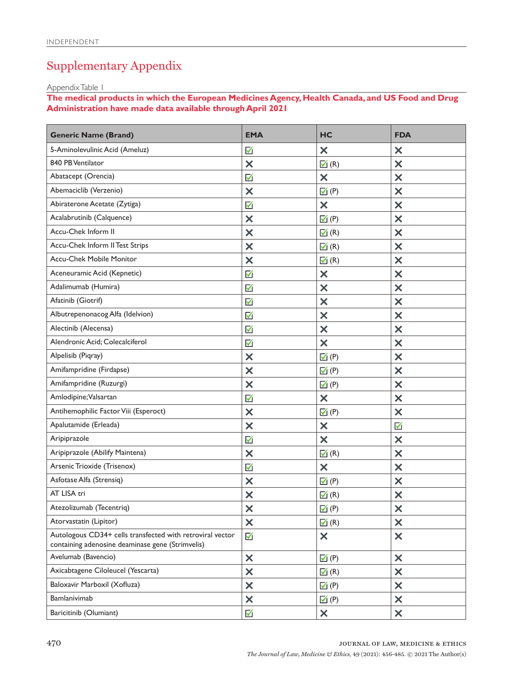# Supplementary Appendix

Appendix Table 1

**The medical products in which the European Medicines Agency, Health Canada, and US Food and Drug Administration have made data available through April 2021**

| <b>Generic Name (Brand)</b>                                                                                   | <b>EMA</b>                | HC                        | <b>FDA</b>                |
|---------------------------------------------------------------------------------------------------------------|---------------------------|---------------------------|---------------------------|
| 5-Aminolevulinic Acid (Ameluz)                                                                                | ☑                         | $\boldsymbol{\mathsf{x}}$ | $\times$                  |
| 840 PB Ventilator                                                                                             | $\boldsymbol{\times}$     | $\boxed{\triangle}$ (R)   | $\times$                  |
| Abatacept (Orencia)                                                                                           | ☑                         | $\boldsymbol{\mathsf{x}}$ | $\bm{\times}$             |
| Abemaciclib (Verzenio)                                                                                        | $\bm{\mathsf{x}}$         | $\mathbb{Z}(P)$           | $\boldsymbol{\mathsf{x}}$ |
| Abiraterone Acetate (Zytiga)                                                                                  | ☑                         | $\boldsymbol{\mathsf{x}}$ | $\boldsymbol{\mathsf{x}}$ |
| Acalabrutinib (Calquence)                                                                                     | $\times$                  | $\mathbf{V}(P)$           | $\bm{\times}$             |
| Accu-Chek Inform II                                                                                           | $\boldsymbol{\times}$     | $\Box$ (R)                | $\boldsymbol{\mathsf{x}}$ |
| Accu-Chek Inform II Test Strips                                                                               | $\times$                  | $\blacksquare$ (R)        | $\boldsymbol{\mathsf{x}}$ |
| Accu-Chek Mobile Monitor                                                                                      | $\times$                  | $\boxed{\triangle}$ (R)   | $\bm{\times}$             |
| Aceneuramic Acid (Kepnetic)                                                                                   | M                         | $\times$                  | $\boldsymbol{\mathsf{x}}$ |
| Adalimumab (Humira)                                                                                           | ☑                         | $\boldsymbol{\mathsf{x}}$ | $\boldsymbol{\mathsf{x}}$ |
| Afatinib (Giotrif)                                                                                            | ☑                         | $\bm{\times}$             | $\bm{\times}$             |
| Albutrepenonacog Alfa (Idelvion)                                                                              | $\boxtimes$               | $\bm{\times}$             | $\boldsymbol{\mathsf{x}}$ |
| Alectinib (Alecensa)                                                                                          | M                         | $\boldsymbol{\mathsf{x}}$ | $\boldsymbol{\mathsf{x}}$ |
| Alendronic Acid; Colecalciferol                                                                               | ☑                         | $\boldsymbol{\mathsf{x}}$ | $\bm{\times}$             |
| Alpelisib (Piqray)                                                                                            | X                         | $\boxtimes$ (P)           | $\boldsymbol{\mathsf{x}}$ |
| Amifampridine (Firdapse)                                                                                      | $\times$                  | $\blacksquare$ (P)        | $\boldsymbol{\mathsf{x}}$ |
| Amifampridine (Ruzurgi)                                                                                       | $\times$                  | $\mathbf{V}(P)$           | $\bm{\times}$             |
| Amlodipine; Valsartan                                                                                         | $\boxtimes$               | $\times$                  | $\boldsymbol{\mathsf{x}}$ |
| Antihemophilic Factor Viii (Esperoct)                                                                         | $\times$                  | $\mathbb{Z}(P)$           | $\boldsymbol{\mathsf{x}}$ |
| Apalutamide (Erleada)                                                                                         | $\boldsymbol{\times}$     | $\times$                  | ☑                         |
| Aripiprazole                                                                                                  | $\boxtimes$               | $\boldsymbol{\mathsf{x}}$ | $\boldsymbol{\times}$     |
| Aripiprazole (Abilify Maintena)                                                                               | $\times$                  | $\blacksquare$ (R)        | $\boldsymbol{\mathsf{x}}$ |
| Arsenic Trioxide (Trisenox)                                                                                   | ☑                         | $\boldsymbol{\mathsf{x}}$ | $\bm{\times}$             |
| Asfotase Alfa (Strensiq)                                                                                      | $\boldsymbol{\mathsf{x}}$ | $\boxtimes$ (P)           | $\bm{\times}$             |
| AT LISA tri                                                                                                   | $\times$                  | $\blacksquare$ (R)        | $\times$                  |
| Atezolizumab (Tecentriq)                                                                                      | ×                         | $\mathbf{V}$ (P)          | X                         |
| Atorvastatin (Lipitor)                                                                                        | $\boldsymbol{\mathsf{x}}$ | $\mathbf{a}$ (R)          | $\boldsymbol{\mathsf{x}}$ |
| Autologous CD34+ cells transfected with retroviral vector<br>containing adenosine deaminase gene (Strimvelis) | $\blacktriangledown$      | $\boldsymbol{\mathsf{x}}$ | $\boldsymbol{\mathsf{x}}$ |
| Avelumab (Bavencio)                                                                                           | $\times$                  | $\mathbf{V}$ (P)          | $\times$                  |
| Axicabtagene Ciloleucel (Yescarta)                                                                            | ×                         | $\blacktriangleright$ (R) | $\times$                  |
| Baloxavir Marboxil (Xofluza)                                                                                  | ×                         | $\blacktriangleright$ (P) | ×                         |
| Bamlanivimab                                                                                                  | $\boldsymbol{\mathsf{x}}$ | $\blacksquare$ (P)        | ×                         |
| Baricitinib (Olumiant)                                                                                        | ☑                         | $\times$                  | ×                         |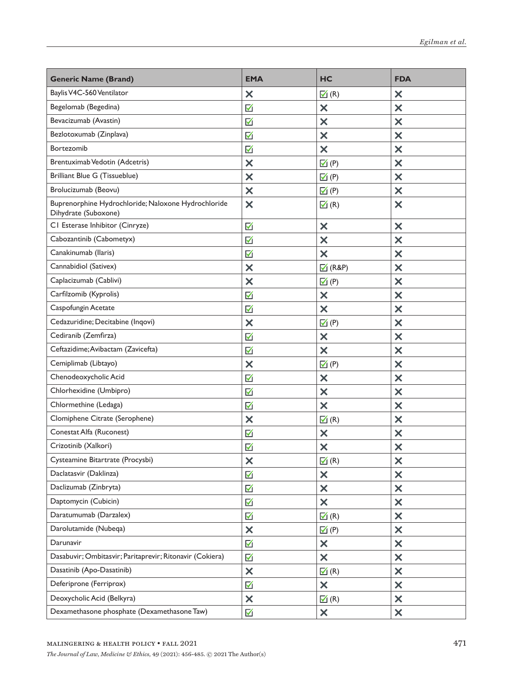| <b>Generic Name (Brand)</b>                                                 | <b>EMA</b>                | HC                          | <b>FDA</b>                |
|-----------------------------------------------------------------------------|---------------------------|-----------------------------|---------------------------|
| Baylis V4C-560 Ventilator                                                   | $\times$                  | $\Box$ (R)                  | $\times$                  |
| Begelomab (Begedina)                                                        | ☑                         | $\boldsymbol{\mathsf{x}}$   | $\boldsymbol{\mathsf{x}}$ |
| Bevacizumab (Avastin)                                                       | ☑                         | $\bm{\times}$               | $\bm{\times}$             |
| Bezlotoxumab (Zinplava)                                                     | ☑                         | $\boldsymbol{\mathsf{x}}$   | $\boldsymbol{\mathsf{x}}$ |
| Bortezomib                                                                  | ☑                         | $\boldsymbol{\mathsf{x}}$   | $\bm{\times}$             |
| Brentuximab Vedotin (Adcetris)                                              | $\bm{\times}$             | $\mathbb{Z}(P)$             | $\bm{\times}$             |
| <b>Brilliant Blue G (Tissueblue)</b>                                        | $\bm{\times}$             | $\overline{\mathsf{M}}$ (P) | $\boldsymbol{\mathsf{x}}$ |
| Brolucizumab (Beovu)                                                        | $\bm{\times}$             | $\mathbb{Z}(P)$             | $\boldsymbol{\mathsf{x}}$ |
| Buprenorphine Hydrochloride; Naloxone Hydrochloride<br>Dihydrate (Suboxone) | $\boldsymbol{\mathsf{x}}$ | $\boxed{\triangle}$ (R)     | $\bm{\times}$             |
| CI Esterase Inhibitor (Cinryze)                                             | ☑                         | $\times$                    | $\boldsymbol{\times}$     |
| Cabozantinib (Cabometyx)                                                    | ☑                         | $\boldsymbol{\mathsf{x}}$   | $\boldsymbol{\mathsf{x}}$ |
| Canakinumab (Ilaris)                                                        | ☑                         | $\bm{\times}$               | $\boldsymbol{\mathsf{x}}$ |
| Cannabidiol (Sativex)                                                       | $\bm{\times}$             | $\sqrt{ }$ (R&P)            | $\bm{\times}$             |
| Caplacizumab (Cablivi)                                                      | $\bm{\times}$             | $\overline{\mathbb{M}}$ (P) | $\boldsymbol{\mathsf{x}}$ |
| Carfilzomib (Kyprolis)                                                      | ☑                         | $\boldsymbol{\mathsf{x}}$   | $\boldsymbol{\mathsf{x}}$ |
| Caspofungin Acetate                                                         | ☑                         | $\boldsymbol{\mathsf{x}}$   | $\bm{\times}$             |
| Cedazuridine; Decitabine (Inqovi)                                           | $\boldsymbol{\mathsf{x}}$ | $\overline{\mathsf{M}}$ (P) | $\boldsymbol{\mathsf{x}}$ |
| Cediranib (Zemfirza)                                                        | ☑                         | $\boldsymbol{\mathsf{x}}$   | $\boldsymbol{\mathsf{x}}$ |
| Ceftazidime; Avibactam (Zavicefta)                                          | ☑                         | $\boldsymbol{\mathsf{x}}$   | $\bm{\times}$             |
| Cemiplimab (Libtayo)                                                        | $\boldsymbol{\mathsf{x}}$ | $\overline{\mathsf{M}}$ (P) | $\boldsymbol{\mathsf{x}}$ |
| Chenodeoxycholic Acid                                                       | ☑                         | $\boldsymbol{\mathsf{x}}$   | $\boldsymbol{\mathsf{x}}$ |
| Chlorhexidine (Umbipro)                                                     | ☑                         | $\times$                    | $\bm{\times}$             |
| Chlormethine (Ledaga)                                                       | ☑                         | $\bm{\times}$               | $\boldsymbol{\mathsf{x}}$ |
| Clomiphene Citrate (Serophene)                                              | $\boldsymbol{\mathsf{x}}$ | $\blacksquare$ (R)          | $\boldsymbol{\mathsf{x}}$ |
| Conestat Alfa (Ruconest)                                                    | ☑                         | $\times$                    | ×                         |
| Crizotinib (Xalkori)                                                        | ☑                         | $\bm{\times}$               | $\times$                  |
| Cysteamine Bitartrate (Procysbi)                                            | ×                         | $\blacktriangleright$ (R)   | $\times$                  |
| Daclatasvir (Daklinza)                                                      | ☑                         | $\times$                    | ×                         |
| Daclizumab (Zinbryta)                                                       | ☑                         | $\boldsymbol{\mathsf{x}}$   | $\boldsymbol{\mathsf{x}}$ |
| Daptomycin (Cubicin)                                                        | ☑                         | $\boldsymbol{\mathsf{x}}$   | $\boldsymbol{\mathsf{x}}$ |
| Daratumumab (Darzalex)                                                      | ☑                         | $\blacksquare$ (R)          | ×                         |
| Darolutamide (Nubeqa)                                                       | $\times$                  | $\overline{\mathsf{M}}$ (P) | $\boldsymbol{\mathsf{x}}$ |
| Darunavir                                                                   | ☑                         | $\boldsymbol{\mathsf{x}}$   | $\boldsymbol{\mathsf{x}}$ |
| Dasabuvir; Ombitasvir; Paritaprevir; Ritonavir (Cokiera)                    | $\boxtimes$               | $\times$                    | ×                         |
| Dasatinib (Apo-Dasatinib)                                                   | $\times$                  | $\Box$ (R)                  | $\boldsymbol{\mathsf{x}}$ |
| Deferiprone (Ferriprox)                                                     | ☑                         | $\boldsymbol{\mathsf{x}}$   | $\boldsymbol{\mathsf{x}}$ |
| Deoxycholic Acid (Belkyra)                                                  | $\times$                  | $\blacksquare$ (R)          | ×                         |
| Dexamethasone phosphate (Dexamethasone Taw)                                 | ☑                         | $\boldsymbol{\mathsf{x}}$   | $\boldsymbol{\mathsf{x}}$ |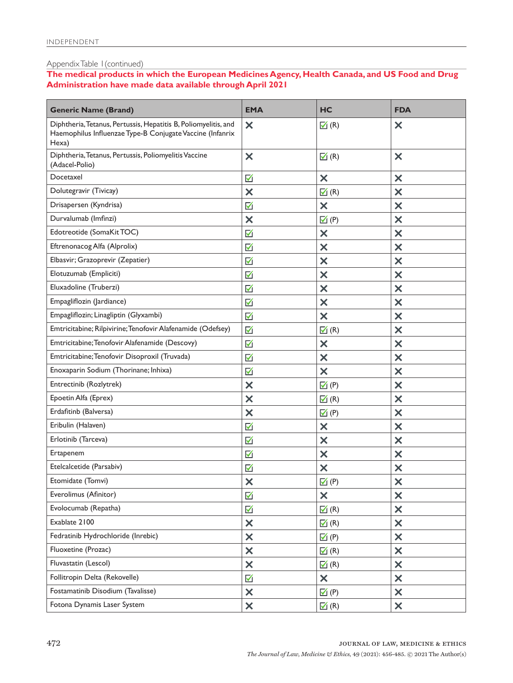### Appendix Table 1(continued)

**The medical products in which the European Medicines Agency, Health Canada, and US Food and Drug Administration have made data available through April 2021**

| <b>Generic Name (Brand)</b>                                                                                                           | <b>EMA</b>                | HC                          | <b>FDA</b>                |
|---------------------------------------------------------------------------------------------------------------------------------------|---------------------------|-----------------------------|---------------------------|
| Diphtheria, Tetanus, Pertussis, Hepatitis B, Poliomyelitis, and<br>Haemophilus Influenzae Type-B Conjugate Vaccine (Infanrix<br>Hexa) | ×                         | $\mathbf{a}$ (R)            | ×                         |
| Diphtheria, Tetanus, Pertussis, Poliomyelitis Vaccine<br>(Adacel-Polio)                                                               | $\bm{\times}$             | $\boxed{\triangle}$ (R)     | $\bm{\times}$             |
| Docetaxel                                                                                                                             | ☑                         | $\boldsymbol{\times}$       | ×                         |
| Dolutegravir (Tivicay)                                                                                                                | $\bm{\times}$             | $\boxed{\triangle}$ (R)     | $\times$                  |
| Drisapersen (Kyndrisa)                                                                                                                | ☑                         | $\bm{\times}$               | $\bm{\times}$             |
| Durvalumab (Imfinzi)                                                                                                                  | $\times$                  | $\mathbf{V}(P)$             | ×                         |
| Edotreotide (SomaKit TOC)                                                                                                             | ☑                         | $\times$                    | $\times$                  |
| Eftrenonacog Alfa (Alprolix)                                                                                                          | ☑                         | $\bm{\times}$               | $\bm{\times}$             |
| Elbasvir; Grazoprevir (Zepatier)                                                                                                      | ☑                         | ×                           | ×                         |
| Elotuzumab (Empliciti)                                                                                                                | ☑                         | $\times$                    | $\times$                  |
| Eluxadoline (Truberzi)                                                                                                                | ☑                         | $\bm{\times}$               | ×                         |
| Empagliflozin (Jardiance)                                                                                                             | ☑                         | ×                           | ×                         |
| Empagliflozin; Linagliptin (Glyxambi)                                                                                                 | ☑                         | $\times$                    | $\times$                  |
| Emtricitabine; Rilpivirine; Tenofovir Alafenamide (Odefsey)                                                                           | M                         | $\mathbb{Z}(R)$             | ×                         |
| Emtricitabine; Tenofovir Alafenamide (Descovy)                                                                                        | ☑                         | ×                           | ×                         |
| Emtricitabine; Tenofovir Disoproxil (Truvada)                                                                                         | ☑                         | $\times$                    | $\times$                  |
| Enoxaparin Sodium (Thorinane; Inhixa)                                                                                                 | ☑                         | $\bm{\times}$               | $\bm{\times}$             |
| Entrectinib (Rozlytrek)                                                                                                               | ×                         | $\overline{\mathbf{M}}$ (P) | ×                         |
| Epoetin Alfa (Eprex)                                                                                                                  | $\bm{\times}$             | $\mathbb{Z}(R)$             | $\times$                  |
| Erdafitinb (Balversa)                                                                                                                 | $\bm{\times}$             | $\mathbb{Z}(P)$             | $\bm{\times}$             |
| Eribulin (Halaven)                                                                                                                    | ☑                         | ×                           | ×                         |
| Erlotinib (Tarceva)                                                                                                                   | ☑                         | $\times$                    | $\times$                  |
| Ertapenem                                                                                                                             | ☑                         | $\bm{\times}$               | ×                         |
| Etelcalcetide (Parsabiv)                                                                                                              | ☑                         | ×                           | ×                         |
| Etomidate (Tomvi)                                                                                                                     | ×                         | $\mathbb{Z}$ (P)            | $\bm{\mathsf{x}}$         |
| Everolimus (Afinitor)                                                                                                                 | ☑                         | $\boldsymbol{\mathsf{x}}$   | $\times$                  |
| Evolocumab (Repatha)                                                                                                                  | ☑                         | $\boxed{\triangle}$ (R)     | $\times$                  |
| Exablate 2100                                                                                                                         | $\boldsymbol{\mathsf{x}}$ | $\boxed{\triangle}$ (R)     | $\times$                  |
| Fedratinib Hydrochloride (Inrebic)                                                                                                    | $\overline{\mathsf{x}}$   | $\overline{\mathsf{M}}$ (P) | $\boldsymbol{\mathsf{x}}$ |
| Fluoxetine (Prozac)                                                                                                                   | $\times$                  | $\boxed{\triangle}$ (R)     | $\times$                  |
| Fluvastatin (Lescol)                                                                                                                  | X                         | $\mathbb{Z}(R)$             | $\times$                  |
| Follitropin Delta (Rekovelle)                                                                                                         | M                         | $\boldsymbol{\mathsf{x}}$   | $\boldsymbol{\times}$     |
| Fostamatinib Disodium (Tavalisse)                                                                                                     | $\times$                  | $\mathbf{V}$ (P)            | $\times$                  |
| Fotona Dynamis Laser System                                                                                                           | $\overline{\mathsf{x}}$   | $\mathbb{Z}(R)$             | $\boldsymbol{\mathsf{x}}$ |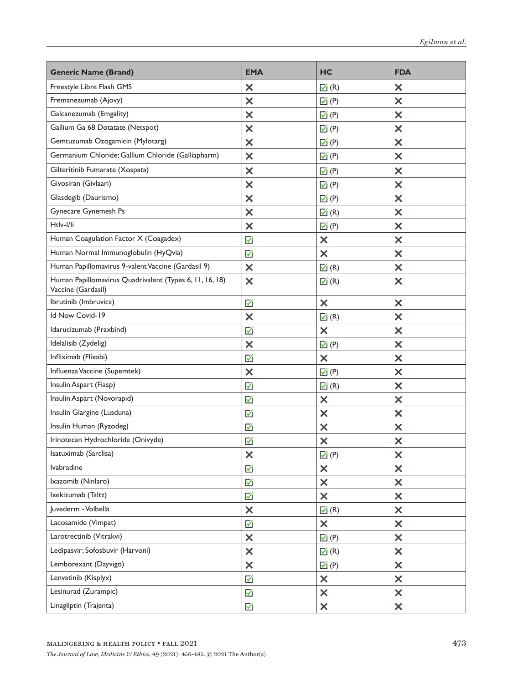| <b>Generic Name (Brand)</b>                                                   | <b>EMA</b>                | HC                        | <b>FDA</b>                |
|-------------------------------------------------------------------------------|---------------------------|---------------------------|---------------------------|
| Freestyle Libre Flash GMS                                                     | ×                         | $\Box$ (R)                | $\times$                  |
| Fremanezumab (Ajovy)                                                          | $\bm{\times}$             | $\mathbf{V}(P)$           | $\boldsymbol{\times}$     |
| Galcanezumab (Emgality)                                                       | $\bm{\times}$             | $\mathbf{V}(P)$           | $\boldsymbol{\mathsf{x}}$ |
| Gallium Ga 68 Dotatate (Netspot)                                              | $\times$                  | $\mathbf{V}$ (P)          | $\bm{\times}$             |
| Gemtuzumab Ozogamicin (Mylotarg)                                              | $\times$                  | $\mathbf{V}(P)$           | $\boldsymbol{\mathsf{x}}$ |
| Germanium Chloride; Gallium Chloride (Galliapharm)                            | $\bm{\times}$             | $\mathbf{V}(P)$           | $\boldsymbol{\mathsf{x}}$ |
| Gilteritinib Fumarate (Xospata)                                               | $\bm{\mathsf{x}}$         | $\mathbb{Z}(P)$           | $\boldsymbol{\mathsf{x}}$ |
| Givosiran (Givlaari)                                                          | $\bm{\times}$             | $\mathbf{V}(P)$           | $\boldsymbol{\mathsf{x}}$ |
| Glasdegib (Daurismo)                                                          | ×                         | $\mathbf{V}(P)$           | $\bm{\times}$             |
| Gynecare Gynemesh Ps                                                          | $\bm{\mathsf{x}}$         | $\blacksquare$ (R)        | $\boldsymbol{\mathsf{x}}$ |
| Htlv-I/li                                                                     | $\bm{\times}$             | $\blacksquare$ (P)        | $\boldsymbol{\mathsf{x}}$ |
| Human Coagulation Factor X (Coagadex)                                         | ☑                         | $\times$                  | $\bm{\times}$             |
| Human Normal Immunoglobulin (HyQvia)                                          | $\boxtimes$               | $\boldsymbol{\mathsf{x}}$ | $\boldsymbol{\mathsf{x}}$ |
| Human Papillomavirus 9-valent Vaccine (Gardasil 9)                            | $\boldsymbol{\mathsf{x}}$ | $\boxed{\triangle}$ (R)   | $\boldsymbol{\mathsf{x}}$ |
| Human Papillomavirus Quadrivalent (Types 6, 11, 16, 18)<br>Vaccine (Gardasil) | ×                         | $\mathbf{A}$ (R)          | $\bm{\times}$             |
| Ibrutinib (Imbruvica)                                                         | M                         | $\boldsymbol{\mathsf{x}}$ | $\times$                  |
| Id Now Covid-19                                                               | ×                         | $\blacksquare$ (R)        | ×                         |
| Idarucizumab (Praxbind)                                                       | $\boxtimes$               | $\boldsymbol{\mathsf{x}}$ | $\boldsymbol{\times}$     |
| Idelalisib (Zydelig)                                                          | $\boldsymbol{\times}$     | $\mathbf{V}(P)$           | $\boldsymbol{\times}$     |
| Infliximab (Flixabi)                                                          | ☑                         | $\boldsymbol{\mathsf{x}}$ | ×                         |
| Influenza Vaccine (Supemtek)                                                  | $\times$                  | $\mathbf{V}(P)$           | $\boldsymbol{\times}$     |
| Insulin Aspart (Fiasp)                                                        | ☑                         | $\blacksquare$ (R)        | $\boldsymbol{\times}$     |
| Insulin Aspart (Novorapid)                                                    | ☑                         | $\boldsymbol{\mathsf{x}}$ | ×                         |
| Insulin Glargine (Lusduna)                                                    | ☑                         | $\boldsymbol{\mathsf{x}}$ | $\boldsymbol{\times}$     |
| Insulin Human (Ryzodeg)                                                       | ☑                         | $\boldsymbol{\mathsf{x}}$ | $\boldsymbol{\times}$     |
| Irinotecan Hydrochloride (Onivyde)                                            | ☑                         | $\boldsymbol{\mathsf{x}}$ | $\times$                  |
| Isatuximab (Sarclisa)                                                         | ×                         | $\mathbb{Z}$ (P)          | ×                         |
| lvabradine                                                                    | ☑                         | $\times$                  | $\times$                  |
| Ixazomib (Ninlaro)                                                            | M                         | $\boldsymbol{\mathsf{x}}$ | $\times$                  |
| Ixekizumab (Taltz)                                                            | $\blacktriangledown$      | $\boldsymbol{\mathsf{x}}$ | $\times$                  |
| Juvederm - Volbella                                                           | $\times$                  | $\blacksquare$ (R)        | $\times$                  |
| Lacosamide (Vimpat)                                                           | M                         | $\times$                  | $\times$                  |
| Larotrectinib (Vitrakvi)                                                      | $\boldsymbol{\mathsf{x}}$ | $\mathbb{Z}$ (P)          | $\times$                  |
| Ledipasvir; Sofosbuvir (Harvoni)                                              | $\times$                  | $\blacksquare$ (R)        | $\times$                  |
| Lemborexant (Dayvigo)                                                         | $\boldsymbol{\mathsf{x}}$ | $\mathbb{Z}$ (P)          | $\times$                  |
| Lenvatinib (Kisplyx)                                                          | $\blacktriangledown$      | $\times$                  | $\times$                  |
| Lesinurad (Zurampic)                                                          | M                         | $\boldsymbol{\mathsf{x}}$ | $\times$                  |
| Linagliptin (Trajenta)                                                        | M                         | $\boldsymbol{\mathsf{x}}$ | $\boldsymbol{\mathsf{x}}$ |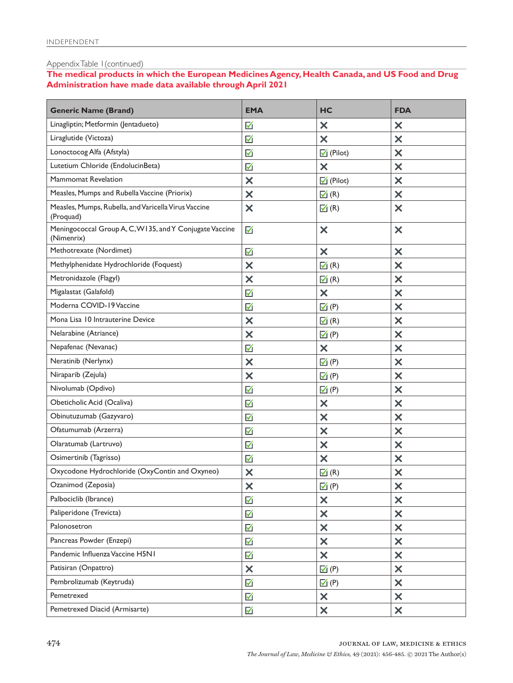### Appendix Table 1(continued)

**The medical products in which the European Medicines Agency, Health Canada, and US Food and Drug Administration have made data available through April 2021**

| <b>Generic Name (Brand)</b>                                           | <b>EMA</b>              | HC                          | <b>FDA</b>                |
|-----------------------------------------------------------------------|-------------------------|-----------------------------|---------------------------|
| Linagliptin; Metformin (Jentadueto)                                   | ☑                       | $\boldsymbol{\mathsf{x}}$   | $\bm{\times}$             |
| Liraglutide (Victoza)                                                 | ☑                       | $\bm{\times}$               | $\bm{\times}$             |
| Lonoctocog Alfa (Afstyla)                                             | ☑                       | $\sqrt{ }$ (Pilot)          | $\times$                  |
| Lutetium Chloride (EndolucinBeta)                                     | ☑                       | $\boldsymbol{\mathsf{x}}$   | $\bm{\times}$             |
| Mammomat Revelation                                                   | $\bm{\times}$           | $\sqrt{ }$ (Pilot)          | $\bm{\times}$             |
| Measles, Mumps and Rubella Vaccine (Priorix)                          | $\boldsymbol{\times}$   | $\mathbf{A}$ (R)            | $\times$                  |
| Measles, Mumps, Rubella, and Varicella Virus Vaccine<br>(Proquad)     | $\overline{\mathsf{x}}$ | $\mathbb{Z}(R)$             | $\boldsymbol{\mathsf{x}}$ |
| Meningococcal Group A, C, W135, and Y Conjugate Vaccine<br>(Nimenrix) | ☑                       | $\boldsymbol{\mathsf{x}}$   | $\bm{\times}$             |
| Methotrexate (Nordimet)                                               | ☑                       | ×                           | $\times$                  |
| Methylphenidate Hydrochloride (Foquest)                               | ×                       | $\boxed{\triangle}$ (R)     | $\bm{\times}$             |
| Metronidazole (Flagyl)                                                | $\bm{\times}$           | $\boxed{\triangle}$ (R)     | ×                         |
| Migalastat (Galafold)                                                 | ☑                       | $\boldsymbol{\mathsf{x}}$   | $\times$                  |
| Moderna COVID-19 Vaccine                                              | ☑                       | $\mathbf{V}(P)$             | $\bm{\times}$             |
| Mona Lisa 10 Intrauterine Device                                      | $\bm{\times}$           | $\boxed{\triangle}$ (R)     | ×                         |
| Nelarabine (Atriance)                                                 | ×                       | $\mathbf{V}(P)$             | $\times$                  |
| Nepafenac (Nevanac)                                                   | ☑                       | $\times$                    | $\bm{\times}$             |
| Neratinib (Nerlynx)                                                   | $\bm{\times}$           | $\overline{\Delta}$ (P)     | ×                         |
| Niraparib (Zejula)                                                    | ×                       | $\mathbf{V}$ (P)            | $\times$                  |
| Nivolumab (Opdivo)                                                    | ☑                       | $\mathbb{Z}(P)$             | $\bm{\times}$             |
| Obeticholic Acid (Ocaliva)                                            | ☑                       | $\boldsymbol{\mathsf{x}}$   | ×                         |
| Obinutuzumab (Gazyvaro)                                               | ☑                       | ×                           | $\times$                  |
| Ofatumumab (Arzerra)                                                  | ☑                       | $\times$                    | $\bm{\times}$             |
| Olaratumab (Lartruvo)                                                 | ☑                       | $\bm{\times}$               | ×                         |
| Osimertinib (Tagrisso)                                                | ☑                       | ×                           | $\times$                  |
| Oxycodone Hydrochloride (OxyContin and Oxyneo)                        | ×                       | $\boxed{\triangle}$ (R)     | $\times$                  |
| Ozanimod (Zeposia)                                                    | ×                       | $\boxtimes$ (P)             | ×                         |
| Palbociclib (Ibrance)                                                 | ☑                       | $\boldsymbol{\mathsf{x}}$   | $\times$                  |
| Paliperidone (Trevicta)                                               | M                       | $\boldsymbol{\mathsf{x}}$   | $\boldsymbol{\mathsf{x}}$ |
| Palonosetron                                                          | M                       | $\times$                    | $\times$                  |
| Pancreas Powder (Enzepi)                                              | ☑                       | ×                           | $\boldsymbol{\mathsf{x}}$ |
| Pandemic Influenza Vaccine H5N1                                       | M                       | $\times$                    | $\times$                  |
| Patisiran (Onpattro)                                                  | $\boldsymbol{\times}$   | $\overline{\mathsf{M}}$ (P) | $\times$                  |
| Pembrolizumab (Keytruda)                                              | ☑                       | $\mathbf{V}$ (P)            | $\boldsymbol{\mathsf{x}}$ |
| Pemetrexed                                                            | ☑                       | $\times$                    | $\boldsymbol{\mathsf{x}}$ |
| Pemetrexed Diacid (Armisarte)                                         | $\boxtimes$             | $\boldsymbol{\mathsf{x}}$   | $\boldsymbol{\mathsf{x}}$ |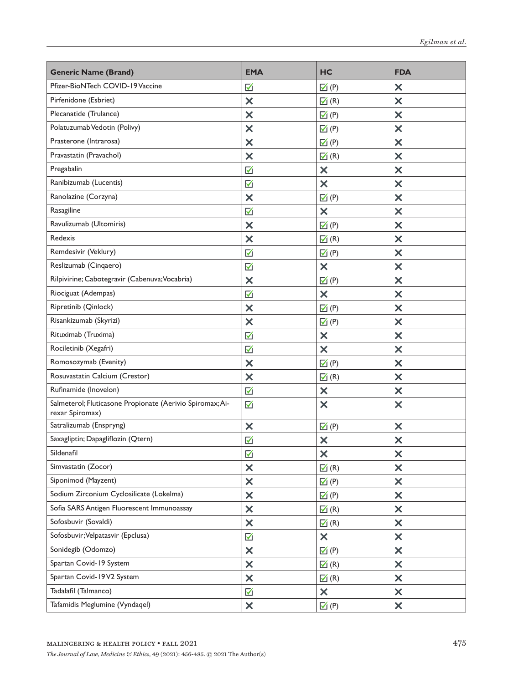| <b>Generic Name (Brand)</b>                                                  | <b>EMA</b>                | HC                          | <b>FDA</b>                |
|------------------------------------------------------------------------------|---------------------------|-----------------------------|---------------------------|
| Pfizer-BioNTech COVID-19 Vaccine                                             | ☑                         | $\mathbb{Z}(P)$             | $\times$                  |
| Pirfenidone (Esbriet)                                                        | $\bm{\times}$             | $\mathbf{A}$ (R)            | $\overline{\mathsf{x}}$   |
| Plecanatide (Trulance)                                                       | $\times$                  | $\mathbf{V}(P)$             | $\boldsymbol{\mathsf{x}}$ |
| Polatuzumab Vedotin (Polivy)                                                 | $\bm{\times}$             | $\mathbf{V}(P)$             | ×                         |
| Prasterone (Intrarosa)                                                       | $\bm{\times}$             | $\boxtimes$ (P)             | $\bm{\times}$             |
| Pravastatin (Pravachol)                                                      | $\times$                  | $\Box$ (R)                  | $\boldsymbol{\mathsf{x}}$ |
| Pregabalin                                                                   | ☑                         | $\boldsymbol{\mathsf{x}}$   | ×                         |
| Ranibizumab (Lucentis)                                                       | ☑                         | $\bm{\times}$               | $\boldsymbol{\mathsf{x}}$ |
| Ranolazine (Corzyna)                                                         | $\boldsymbol{\times}$     | $\mathbf{V}(P)$             | $\boldsymbol{\mathsf{x}}$ |
| Rasagiline                                                                   | M                         | $\times$                    | $\bm{\times}$             |
| Ravulizumab (Ultomiris)                                                      | $\bm{\times}$             | $\mathbf{V}(P)$             | $\boldsymbol{\mathsf{x}}$ |
| <b>Redexis</b>                                                               | $\times$                  | $\mathbf{A}(\mathsf{R})$    | $\times$                  |
| Remdesivir (Veklury)                                                         | M                         | $\mathbb{Z}$ (P)            | $\bm{\times}$             |
| Reslizumab (Cinqaero)                                                        | ☑                         | $\boldsymbol{\mathsf{x}}$   | $\boldsymbol{\mathsf{x}}$ |
| Rilpivirine; Cabotegravir (Cabenuva; Vocabria)                               | $\boldsymbol{\mathsf{x}}$ | $\mathbf{V}(P)$             | $\times$                  |
| Riociguat (Adempas)                                                          | M                         | $\times$                    | $\bm{\times}$             |
| Ripretinib (Qinlock)                                                         | $\bm{\times}$             | $\overline{\mathsf{M}}$ (P) | $\boldsymbol{\mathsf{x}}$ |
| Risankizumab (Skyrizi)                                                       | $\times$                  | $\mathbf{V}(P)$             | $\boldsymbol{\times}$     |
| Rituximab (Truxima)                                                          | M                         | $\boldsymbol{\mathsf{x}}$   | $\bm{\times}$             |
| Rociletinib (Xegafri)                                                        | ☑                         | $\bm{\times}$               | $\boldsymbol{\mathsf{x}}$ |
| Romosozymab (Evenity)                                                        | $\times$                  | $\overline{\mathsf{M}}$ (P) | $\boldsymbol{\times}$     |
| Rosuvastatin Calcium (Crestor)                                               | $\bm{\times}$             | $\Box$ (R)                  | $\bm{\times}$             |
| Rufinamide (Inovelon)                                                        | ☑                         | $\boldsymbol{\mathsf{x}}$   | $\boldsymbol{\mathsf{x}}$ |
| Salmeterol; Fluticasone Propionate (Aerivio Spiromax; Ai-<br>rexar Spiromax) | ☑                         | ×                           | $\bm{\times}$             |
| Satralizumab (Enspryng)                                                      | $\boldsymbol{\times}$     | $\overline{\mathsf{M}}$ (P) | $\boldsymbol{\times}$     |
| Saxagliptin; Dapagliflozin (Qtern)                                           | ☑                         | ×                           | $\boldsymbol{\times}$     |
| Sildenafil                                                                   | ☑                         | X                           | $\times$                  |
| Simvastatin (Zocor)                                                          | $\boldsymbol{\mathsf{x}}$ | $\blacksquare$ (R)          | $\boldsymbol{\mathsf{x}}$ |
| Siponimod (Mayzent)                                                          | $\times$                  | $\mathbf{V}$ (P)            | $\boldsymbol{\mathsf{x}}$ |
| Sodium Zirconium Cyclosilicate (Lokelma)                                     | $\boldsymbol{\mathsf{x}}$ | $\mathcal{I}(P)$            | $\times$                  |
| Sofia SARS Antigen Fluorescent Immunoassay                                   | $\times$                  | $\mathbb{Z}(R)$             | $\boldsymbol{\mathsf{x}}$ |
| Sofosbuvir (Sovaldi)                                                         | $\times$                  | $\Box$ (R)                  | $\boldsymbol{\mathsf{x}}$ |
| Sofosbuvir; Velpatasvir (Epclusa)                                            | K                         | $\times$                    | $\times$                  |
| Sonidegib (Odomzo)                                                           | $\times$                  | $\mathbf{V}$ (P)            | $\boldsymbol{\mathsf{x}}$ |
| Spartan Covid-19 System                                                      | $\times$                  | $\Box$ (R)                  | $\boldsymbol{\mathsf{x}}$ |
| Spartan Covid-19V2 System                                                    | $\times$                  | $\mathbf{A}$ (R)            | $\times$                  |
| Tadalafil (Talmanco)                                                         | $\blacktriangledown$      | $\boldsymbol{\mathsf{x}}$   | $\boldsymbol{\mathsf{x}}$ |
| Tafamidis Meglumine (Vyndaqel)                                               | $\boldsymbol{\mathsf{x}}$ | $\blacktriangledown$ (P)    | $\boldsymbol{\mathsf{x}}$ |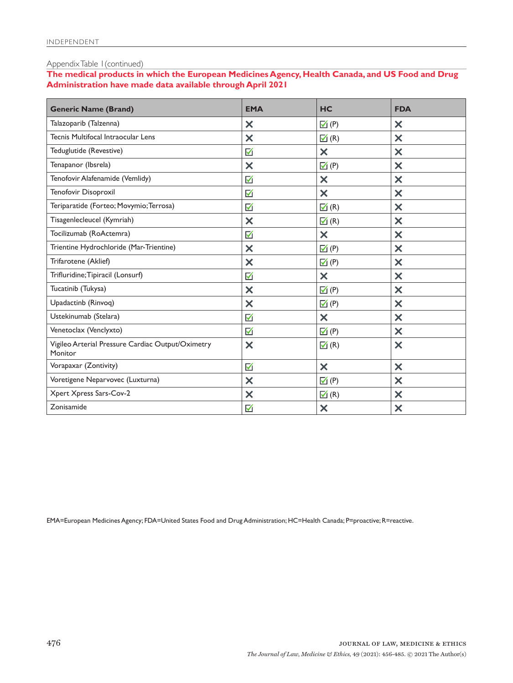### Appendix Table 1(continued)

**The medical products in which the European Medicines Agency, Health Canada, and US Food and Drug Administration have made data available through April 2021**

| <b>Generic Name (Brand)</b>                                  | <b>EMA</b>                | HC                          | <b>FDA</b>                |
|--------------------------------------------------------------|---------------------------|-----------------------------|---------------------------|
| Talazoparib (Talzenna)                                       | $\boldsymbol{\mathsf{x}}$ | $\mathbb{Z}(P)$             | $\bm{\times}$             |
| Tecnis Multifocal Intraocular Lens                           | $\times$                  | $\blacksquare$ (R)          | $\boldsymbol{\mathsf{x}}$ |
| Teduglutide (Revestive)                                      | ☑                         | $\boldsymbol{\mathsf{x}}$   | $\bm{\times}$             |
| Tenapanor (Ibsrela)                                          | $\boldsymbol{\mathsf{x}}$ | $\mathbb{Z}(P)$             | $\boldsymbol{\mathsf{x}}$ |
| Tenofovir Alafenamide (Vemlidy)                              | ☑                         | $\bm{\times}$               | $\boldsymbol{\mathsf{x}}$ |
| Tenofovir Disoproxil                                         | ☑                         | $\overline{\mathsf{x}}$     | $\overline{\mathsf{x}}$   |
| Teriparatide (Forteo; Movymio; Terrosa)                      | $\blacktriangledown$      | $\overline{\mathsf{M}}$ (R) | ×                         |
| Tisagenlecleucel (Kymriah)                                   | $\times$                  | $\blacksquare$ (R)          | $\boldsymbol{\mathsf{x}}$ |
| Tocilizumab (RoActemra)                                      | M                         | $\boldsymbol{\mathsf{x}}$   | $\bm{\times}$             |
| Trientine Hydrochloride (Mar-Trientine)                      | $\bm{\times}$             | $\mathbb{Z}(P)$             | $\bm{\times}$             |
| Trifarotene (Aklief)                                         | $\bm{\times}$             | $\mathbf{V}(P)$             | $\bm{\times}$             |
| Trifluridine; Tipiracil (Lonsurf)                            | $\blacktriangledown$      | $\boldsymbol{\mathsf{x}}$   | $\bm{\times}$             |
| Tucatinib (Tukysa)                                           | $\boldsymbol{\times}$     | $\overline{\mathsf{M}}$ (P) | $\bm{\times}$             |
| Upadactinb (Rinvoq)                                          | $\boldsymbol{\times}$     | $\mathbf{V}(P)$             | $\bm{\times}$             |
| Ustekinumab (Stelara)                                        | ☑                         | $\boldsymbol{\mathsf{x}}$   | $\bm{\times}$             |
| Venetoclax (Venclyxto)                                       | ☑                         | $\mathbb{Z}(P)$             | $\bm{\times}$             |
| Vigileo Arterial Pressure Cardiac Output/Oximetry<br>Monitor | $\boldsymbol{\mathsf{x}}$ | $\blacksquare$ (R)          | $\boldsymbol{\mathsf{x}}$ |
| Vorapaxar (Zontivity)                                        | $\blacktriangledown$      | $\overline{\mathsf{x}}$     | $\bm{\times}$             |
| Voretigene Neparvovec (Luxturna)                             | $\boldsymbol{\mathsf{x}}$ | $\mathbf{V}(P)$             | $\bm{\times}$             |
| Xpert Xpress Sars-Cov-2                                      | $\boldsymbol{\mathsf{x}}$ | $\mathbf{N}$ (R)            | $\bm{\times}$             |
| Zonisamide                                                   | ☑                         | X                           | ×                         |

EMA=European Medicines Agency; FDA=United States Food and Drug Administration; HC=Health Canada; P=proactive; R=reactive.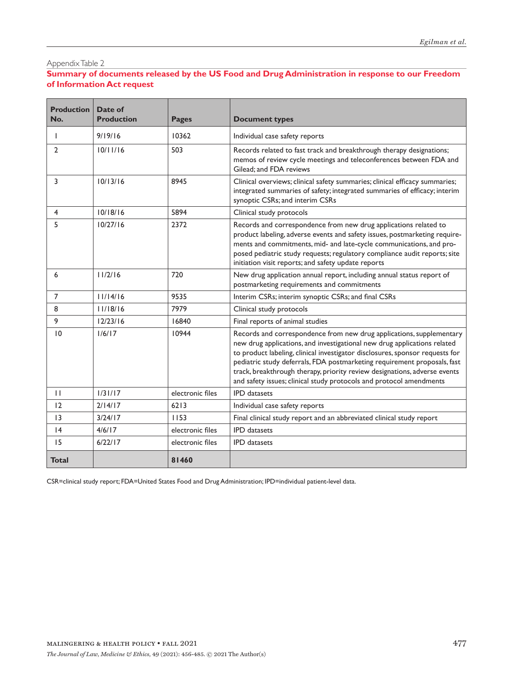# **Summary of documents released by the US Food and Drug Administration in response to our Freedom of Information Act request**

| <b>Production</b><br>No. | Date of<br><b>Production</b> | <b>Pages</b>     | <b>Document types</b>                                                                                                                                                                                                                                                                                                                                                                                                                                            |
|--------------------------|------------------------------|------------------|------------------------------------------------------------------------------------------------------------------------------------------------------------------------------------------------------------------------------------------------------------------------------------------------------------------------------------------------------------------------------------------------------------------------------------------------------------------|
| $\mathbf{I}$             | 9/19/16                      | 10362            | Individual case safety reports                                                                                                                                                                                                                                                                                                                                                                                                                                   |
| $\overline{2}$           | 10/11/16                     | 503              | Records related to fast track and breakthrough therapy designations;<br>memos of review cycle meetings and teleconferences between FDA and<br>Gilead: and FDA reviews                                                                                                                                                                                                                                                                                            |
| 3                        | 10/13/16                     | 8945             | Clinical overviews; clinical safety summaries; clinical efficacy summaries;<br>integrated summaries of safety; integrated summaries of efficacy; interim<br>synoptic CSRs; and interim CSRs                                                                                                                                                                                                                                                                      |
| 4                        | 10/18/16                     | 5894             | Clinical study protocols                                                                                                                                                                                                                                                                                                                                                                                                                                         |
| 5                        | 10/27/16                     | 2372             | Records and correspondence from new drug applications related to<br>product labeling, adverse events and safety issues, postmarketing require-<br>ments and commitments, mid- and late-cycle communications, and pro-<br>posed pediatric study requests; regulatory compliance audit reports; site<br>initiation visit reports; and safety update reports                                                                                                        |
| 6                        | 11/2/16                      | 720              | New drug application annual report, including annual status report of<br>postmarketing requirements and commitments                                                                                                                                                                                                                                                                                                                                              |
| $\overline{7}$           | 11/14/16                     | 9535             | Interim CSRs; interim synoptic CSRs; and final CSRs                                                                                                                                                                                                                                                                                                                                                                                                              |
| 8                        | 11/18/16                     | 7979             | Clinical study protocols                                                                                                                                                                                                                                                                                                                                                                                                                                         |
| 9                        | 12/23/16                     | 16840            | Final reports of animal studies                                                                                                                                                                                                                                                                                                                                                                                                                                  |
| 10                       | 1/6/17                       | 10944            | Records and correspondence from new drug applications, supplementary<br>new drug applications, and investigational new drug applications related<br>to product labeling, clinical investigator disclosures, sponsor requests for<br>pediatric study deferrals, FDA postmarketing requirement proposals, fast<br>track, breakthrough therapy, priority review designations, adverse events<br>and safety issues; clinical study protocols and protocol amendments |
| $\mathbf{H}$             | 1/31/17                      | electronic files | <b>IPD</b> datasets                                                                                                                                                                                                                                                                                                                                                                                                                                              |
| 12                       | 2/14/17                      | 6213             | Individual case safety reports                                                                                                                                                                                                                                                                                                                                                                                                                                   |
| 13                       | 3/24/17                      | 1153             | Final clinical study report and an abbreviated clinical study report                                                                                                                                                                                                                                                                                                                                                                                             |
| 4                        | 4/6/17                       | electronic files | <b>IPD</b> datasets                                                                                                                                                                                                                                                                                                                                                                                                                                              |
| 15                       | 6/22/17                      | electronic files | <b>IPD</b> datasets                                                                                                                                                                                                                                                                                                                                                                                                                                              |
| Total                    |                              | 81460            |                                                                                                                                                                                                                                                                                                                                                                                                                                                                  |

CSR=clinical study report; FDA=United States Food and Drug Administration; IPD=individual patient-level data.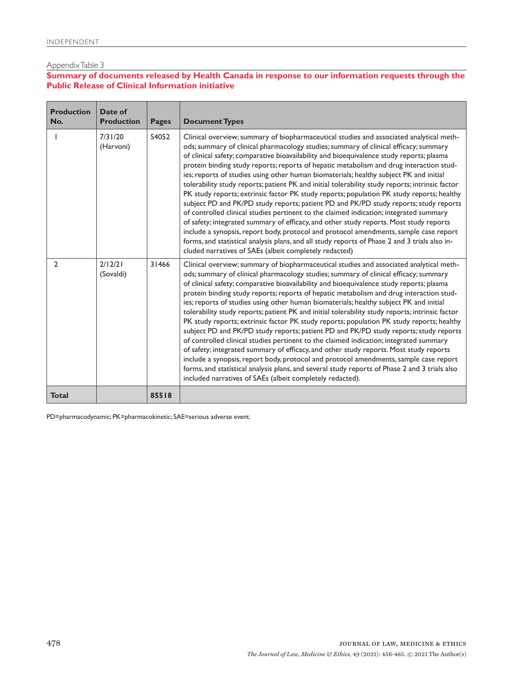# **Summary of documents released by Health Canada in response to our information requests through the Public Release of Clinical Information initiative**

ī

| <b>Production</b><br>No. | Date of<br><b>Production</b> | <b>Pages</b> | <b>Document Types</b>                                                                                                                                                                                                                                                                                                                                                                                                                                                                                                                                                                                                                                                                                                                                                                                                                                                                                                                                                                                                                                                                                                                                                                                |
|--------------------------|------------------------------|--------------|------------------------------------------------------------------------------------------------------------------------------------------------------------------------------------------------------------------------------------------------------------------------------------------------------------------------------------------------------------------------------------------------------------------------------------------------------------------------------------------------------------------------------------------------------------------------------------------------------------------------------------------------------------------------------------------------------------------------------------------------------------------------------------------------------------------------------------------------------------------------------------------------------------------------------------------------------------------------------------------------------------------------------------------------------------------------------------------------------------------------------------------------------------------------------------------------------|
|                          | 7/31/20<br>(Harvoni)         | 54052        | Clinical overview; summary of biopharmaceutical studies and associated analytical meth-<br>ods; summary of clinical pharmacology studies; summary of clinical efficacy; summary<br>of clinical safety; comparative bioavailability and bioequivalence study reports; plasma<br>protein binding study reports; reports of hepatic metabolism and drug interaction stud-<br>ies; reports of studies using other human biomaterials; healthy subject PK and initial<br>tolerability study reports; patient PK and initial tolerability study reports; intrinsic factor<br>PK study reports; extrinsic factor PK study reports; population PK study reports; healthy<br>subject PD and PK/PD study reports; patient PD and PK/PD study reports; study reports<br>of controlled clinical studies pertinent to the claimed indication; integrated summary<br>of safety; integrated summary of efficacy, and other study reports. Most study reports<br>include a synopsis, report body, protocol and protocol amendments, sample case report<br>forms, and statistical analysis plans, and all study reports of Phase 2 and 3 trials also in-<br>cluded narratives of SAEs (albeit completely redacted)    |
| $\overline{2}$           | 2/12/21<br>(Sovaldi)         | 31466        | Clinical overview; summary of biopharmaceutical studies and associated analytical meth-<br>ods; summary of clinical pharmacology studies; summary of clinical efficacy; summary<br>of clinical safety; comparative bioavailability and bioequivalence study reports; plasma<br>protein binding study reports; reports of hepatic metabolism and drug interaction stud-<br>ies; reports of studies using other human biomaterials; healthy subject PK and initial<br>tolerability study reports; patient PK and initial tolerability study reports; intrinsic factor<br>PK study reports; extrinsic factor PK study reports; population PK study reports; healthy<br>subject PD and PK/PD study reports; patient PD and PK/PD study reports; study reports<br>of controlled clinical studies pertinent to the claimed indication; integrated summary<br>of safety; integrated summary of efficacy, and other study reports. Most study reports<br>include a synopsis, report body, protocol and protocol amendments, sample case report<br>forms, and statistical analysis plans, and several study reports of Phase 2 and 3 trials also<br>included narratives of SAEs (albeit completely redacted). |
| <b>Total</b>             |                              | 85518        |                                                                                                                                                                                                                                                                                                                                                                                                                                                                                                                                                                                                                                                                                                                                                                                                                                                                                                                                                                                                                                                                                                                                                                                                      |

PD=pharmacodynamic; PK=pharmacokinetic; SAE=serious adverse event.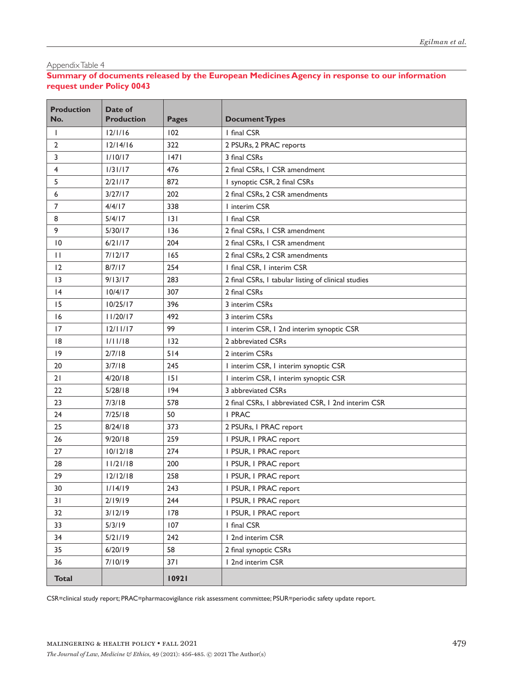# **Summary of documents released by the European Medicines Agency in response to our information request under Policy 0043**

| <b>Production</b><br>No. | Date of<br><b>Production</b> | <b>Pages</b> | <b>Document Types</b>                               |
|--------------------------|------------------------------|--------------|-----------------------------------------------------|
| Т                        | 12/1/16                      | 102          | I final CSR                                         |
| $\overline{2}$           | 12/14/16                     | 322          | 2 PSURs, 2 PRAC reports                             |
| 3                        | 1/10/17                      | 47           | 3 final CSRs                                        |
| 4                        | 1/31/17                      | 476          | 2 final CSRs, I CSR amendment                       |
| 5                        | 2/21/17                      | 872          | I synoptic CSR, 2 final CSRs                        |
| 6                        | 3/27/17                      | 202          | 2 final CSRs, 2 CSR amendments                      |
| $\overline{7}$           | 4/4/17                       | 338          | I interim CSR                                       |
| 8                        | 5/4/17                       | 3            | I final CSR                                         |
| 9                        | 5/30/17                      | 136          | 2 final CSRs, I CSR amendment                       |
| 10                       | 6/21/17                      | 204          | 2 final CSRs, I CSR amendment                       |
| П                        | 7/12/17                      | 165          | 2 final CSRs, 2 CSR amendments                      |
| 12                       | 8/7/17                       | 254          | I final CSR, I interim CSR                          |
| 3                        | 9/13/17                      | 283          | 2 final CSRs, I tabular listing of clinical studies |
| $\overline{14}$          | 10/4/17                      | 307          | 2 final CSRs                                        |
| 15                       | 10/25/17                     | 396          | 3 interim CSRs                                      |
| 16                       | 11/20/17                     | 492          | 3 interim CSRs                                      |
| 17                       | 12/11/17                     | 99           | I interim CSR, I 2nd interim synoptic CSR           |
| 8                        | 1/11/18                      | 132          | 2 abbreviated CSRs                                  |
| $ 9\rangle$              | 2/7/18                       | 514          | 2 interim CSRs                                      |
| 20                       | 3/7/18                       | 245          | I interim CSR, I interim synoptic CSR               |
| 21                       | 4/20/18                      | 151          | I interim CSR, I interim synoptic CSR               |
| 22                       | 5/28/18                      | 194          | 3 abbreviated CSRs                                  |
| 23                       | 7/3/18                       | 578          | 2 final CSRs, I abbreviated CSR, I 2nd interim CSR  |
| 24                       | 7/25/18                      | 50           | I PRAC                                              |
| 25                       | 8/24/18                      | 373          | 2 PSURs, I PRAC report                              |
| 26                       | 9/20/18                      | 259          | I PSUR, I PRAC report                               |
| 27                       | 10/12/18                     | 274          | I PSUR, I PRAC report                               |
| 28                       | 11/21/18                     | 200          | I PSUR, I PRAC report                               |
| 29                       | 12/12/18                     | 258          | I PSUR, I PRAC report                               |
| 30                       | 1/14/19                      | 243          | I PSUR, I PRAC report                               |
| 31                       | 2/19/19                      | 244          | I PSUR, I PRAC report                               |
| 32                       | 3/12/19                      | 178          | I PSUR, I PRAC report                               |
| 33                       | 5/3/19                       | 107          | I final CSR                                         |
| 34                       | 5/21/19                      | 242          | 1 2nd interim CSR                                   |
| 35                       | 6/20/19                      | 58           | 2 final synoptic CSRs                               |
| 36                       | 7/10/19                      | 371          | 1 2nd interim CSR                                   |
| <b>Total</b>             |                              | 10921        |                                                     |

CSR=clinical study report; PRAC=pharmacovigilance risk assessment committee; PSUR=periodic safety update report.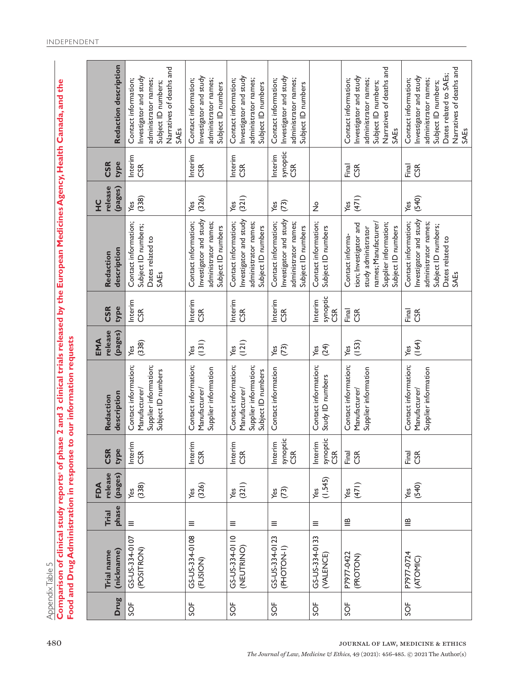Appendix Table 5 Appendix Table 5

**Comparison of clinical study reports**a **of phase 2 and 3 clinical trials released by the European Medicines Agency, Health Canada, and the**  Comparison of clinical study reports<sup>3</sup> of phase 2 and 3 clinical trials released by the European Medicines Agency, Health Canada, and the Food and Drug Administration in response to our information requests **Food and Drug Administration in response to our information requests**

|             |                              |                | FDA                |                                  |                                                                                      | EMA                |                                   |                                                                                                                                          | $\frac{0}{1}$      |                                  |                                                                                                                                                             |
|-------------|------------------------------|----------------|--------------------|----------------------------------|--------------------------------------------------------------------------------------|--------------------|-----------------------------------|------------------------------------------------------------------------------------------------------------------------------------------|--------------------|----------------------------------|-------------------------------------------------------------------------------------------------------------------------------------------------------------|
| <b>Drug</b> | (nickname)<br>Trial name     | phase<br>Trial | release<br>(pages) | type<br>CSR                      | description<br>Redaction                                                             | release<br>(pages) | type<br><b>CSR</b>                | description<br>Redaction                                                                                                                 | release<br>(pages) | type<br><b>CSR</b>               | Redaction description                                                                                                                                       |
| š           | GS-US-334-0107<br>(POSITRON) | $\equiv$       | (338)<br>Yes       | Interim<br>CSR                   | Contact information;<br>Supplier information;<br>Subject ID numbers<br>Manufacturer/ | (338)<br>Yes       | Interim<br>CSR                    | Contact information;<br>Subject ID numbers;<br>Dates related to<br>SAEs                                                                  | (338)<br>Yes       | Interim<br><b>GR</b>             | Narratives of deaths and<br>Investigator and study<br>Contact information;<br>administrator names;<br>Subject ID numbers;<br><b>SAEs</b>                    |
| 5OF         | GS-US-334-0108<br>(FUSION)   | Ξ              | (326)<br>Yes       | Interim<br><b>CSR</b>            | Contact information;<br>Supplier information<br>Manufacturer/                        | (131)<br>Yes       | Interim<br><b>SR</b>              | Investigator and study<br>Contact information;<br>administrator names;<br>Subject ID numbers                                             | (326)<br>Yes       | Interim<br>SR<br>S               | Investigator and study<br>Contact information;<br>administrator names;<br>Subject ID numbers                                                                |
| 5OF         | GS-US-334-0110<br>(NEUTRINO) | $\equiv$       | (321)<br>Yes       | Interim<br><b>CSR</b>            | Contact information;<br>Supplier information;<br>Subject ID numbers<br>Manufacturer/ | (121)<br>Yes       | Interim<br><b>GSR</b>             | Investigator and study<br>Contact information;<br>administrator names;<br>Subject ID numbers                                             | (321)<br>Yes       | Interim<br><b>SR</b>             | Investigator and study<br>Contact information;<br>administrator names;<br>Subject ID numbers                                                                |
| SOF         | GS-US-334-0123<br>(PHOTOL-1) | $\equiv$       | (73)<br>Yes        | synoptic<br>CSR<br>Interim       | Contact information                                                                  | (73)<br>Yes        | Interim<br><b>SR</b>              | Investigator and study<br>Contact information;<br>administrator names;<br>Subject ID numbers                                             | (73)<br>Yes        | synoptic<br>Interim<br><b>GR</b> | Investigator and study<br>Contact information;<br>administrator names;<br>Subject ID numbers                                                                |
| SOF         | GS-US-334-0133<br>(VALENCE)  | ≣              | (1,545)<br>Yes     | synoptic<br>Interim<br><b>GR</b> | Contact information;<br>Study ID numbers                                             | (24)<br>Yes        | synoptic<br>Interim<br><b>CSR</b> | Contact information;<br>Subject ID numbers                                                                                               | $\frac{1}{2}$      |                                  |                                                                                                                                                             |
| SOF         | P7977-0422<br>(PROTON)       | ≝              | (471)<br>Yes       | Final<br>CSR                     | Contact information;<br>Supplier information<br>Manufacturer/                        | (153)<br>Yes       | Final<br>CSR                      | names; Manufacturer/<br>Supplier information;<br>tion; Investigator and<br>Subject ID numbers<br>study administrator<br>Contact informa- | (471)<br>Yes       | Final<br><b>CSR</b>              | Narratives of deaths and<br>Investigator and study<br>Contact information;<br>administrator names;<br>Subject ID numbers;<br>SAEs                           |
| SOF         | P7977-0724<br>(ATOMIC)       | $\cong$        | (540)<br>Yes       | Final<br>CSR                     | Contact information;<br>Supplier information<br>Manufacturer/                        | (164)<br>yes       | Final<br><b>CSR</b>               | Investigator and study<br>Contact information;<br>administrator names;<br>Subject ID numbers;<br>Dates related to<br>SAEs                | (540)<br>Yes       | Final<br>CSR                     | Narratives of deaths and<br>Dates related to SAEs;<br>Investigator and study<br>Contact information;<br>administrator names;<br>Subject ID numbers;<br>SAEs |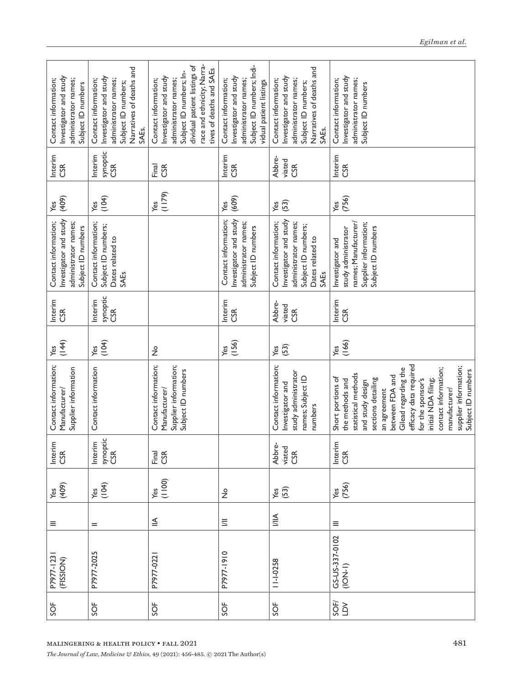| Investigator and study<br>administrator names;<br>Contact information;<br>Subject ID numbers | Narratives of deaths and<br>Investigator and study<br>Contact information;<br>administrator names;<br>Subject ID numbers;<br>SAEs. | race and ethnicity; Narra-<br>dividual patient listings of<br>tives of deaths and SAEs<br>Subject ID numbers; In-<br>Investigator and study<br>Contact information;<br>administrator names; | Subject ID numbers; Indi-<br>Investigator and study<br>administrator names;<br>Contact information;<br>vidual patient listings | Narratives of deaths and<br>Investigator and study<br>administrator names;<br>Contact information;<br>Subject ID numbers;<br>SAEs. | Investigator and study<br>administrator names;<br>Contact information;<br>Subject ID numbers                                                                                                                                                                                                                                   |
|----------------------------------------------------------------------------------------------|------------------------------------------------------------------------------------------------------------------------------------|---------------------------------------------------------------------------------------------------------------------------------------------------------------------------------------------|--------------------------------------------------------------------------------------------------------------------------------|------------------------------------------------------------------------------------------------------------------------------------|--------------------------------------------------------------------------------------------------------------------------------------------------------------------------------------------------------------------------------------------------------------------------------------------------------------------------------|
| Interim<br>CSR                                                                               | synoptic<br>Interim<br><b>CSR</b>                                                                                                  | Firal<br>CSR                                                                                                                                                                                | Interim<br><b>CSR</b>                                                                                                          | Abbre-<br>viated<br><b>GR</b>                                                                                                      | Interim<br><b>SR</b>                                                                                                                                                                                                                                                                                                           |
| (409)<br>Yes                                                                                 | (104)<br>Yes                                                                                                                       | (1179)<br>Yes                                                                                                                                                                               | (609)<br>Yes                                                                                                                   | (53)<br>Yes                                                                                                                        | (756)<br>Yes                                                                                                                                                                                                                                                                                                                   |
| Investigator and study<br>Contact information;<br>administrator names;<br>Subject ID numbers | Contact information;<br>Subject ID numbers;<br>Dates related to<br>SAEs                                                            |                                                                                                                                                                                             | Contact information;<br>Investigator and study<br>administrator names;<br>Subject ID numbers                                   | Investigator and study<br>Contact information;<br>administrator names;<br>Subject ID numbers;<br>Dates related to<br>SAEs          | names; Manufacturer/<br>Supplier information;<br>Subject ID numbers<br>study administrator<br>Investigator and                                                                                                                                                                                                                 |
| Interim<br>CSR                                                                               | synoptic<br>Interim<br>CSR                                                                                                         |                                                                                                                                                                                             | Interim<br><b>CSR</b>                                                                                                          | Abbre-<br>viated<br><b>SR</b>                                                                                                      | Interim<br><b>CSR</b>                                                                                                                                                                                                                                                                                                          |
| (144)<br>Yes                                                                                 | (104)<br>Yes                                                                                                                       | $\frac{1}{2}$                                                                                                                                                                               | (156)<br>Yes                                                                                                                   | (53)<br>Yes                                                                                                                        | (166)<br>Yes                                                                                                                                                                                                                                                                                                                   |
| Contact information;<br>Supplier information<br>Manufacturer/                                | Contact information                                                                                                                | Contact information;<br>Supplier information;<br>Subject ID numbers<br>Manufacturer/                                                                                                        |                                                                                                                                | Contact information;<br>study administrator<br>names; Subject ID<br>Investigator and<br>numbers                                    | efficacy data required<br>supplier information;<br>contact information;<br>Gilead regarding the<br>Subject ID numbers<br>statistical methods<br>between FDA and<br>Short portions of<br>sections detailing<br>the methods and<br>for the sponsor's<br>initial NDA filing;<br>and study design<br>manufacturer/<br>an agreement |
| Interim<br>CSR                                                                               | Interim<br>synoptic<br>CSR                                                                                                         | Final                                                                                                                                                                                       |                                                                                                                                | Abbre-<br>viated<br>CSR                                                                                                            | Interim<br>CSR                                                                                                                                                                                                                                                                                                                 |
| $\begin{pmatrix} 409 \\ 409 \end{pmatrix}$                                                   | $Yes$<br>(104)                                                                                                                     | $Yes$<br>(1100)                                                                                                                                                                             | $\frac{1}{2}$                                                                                                                  | $\frac{\text{Yes}}{\text{S3}}$                                                                                                     | Yes<br>(756)                                                                                                                                                                                                                                                                                                                   |
| Ξ                                                                                            | $=$                                                                                                                                | $\leqq$                                                                                                                                                                                     | $\equiv$                                                                                                                       | $\frac{1}{2}$                                                                                                                      | $\equiv$                                                                                                                                                                                                                                                                                                                       |
| P7977-1231<br>(FISSION)                                                                      | P7977-2025                                                                                                                         | P7977-022                                                                                                                                                                                   | P7977-1910                                                                                                                     | $11 - 1 - 0258$                                                                                                                    | GS-US-337-0102<br>$(10N-1)$                                                                                                                                                                                                                                                                                                    |
| SOF                                                                                          | SOF                                                                                                                                | SOF                                                                                                                                                                                         | SOF                                                                                                                            | SOF                                                                                                                                | <b>AGS</b>                                                                                                                                                                                                                                                                                                                     |
|                                                                                              | MALINGERING & HEALTH POLICY • FALL 2021                                                                                            | The Journal of Law, Medicine & Ethics, 49 (2021): 456-485. $\odot$ 2021 The Author(s)                                                                                                       |                                                                                                                                |                                                                                                                                    | 481                                                                                                                                                                                                                                                                                                                            |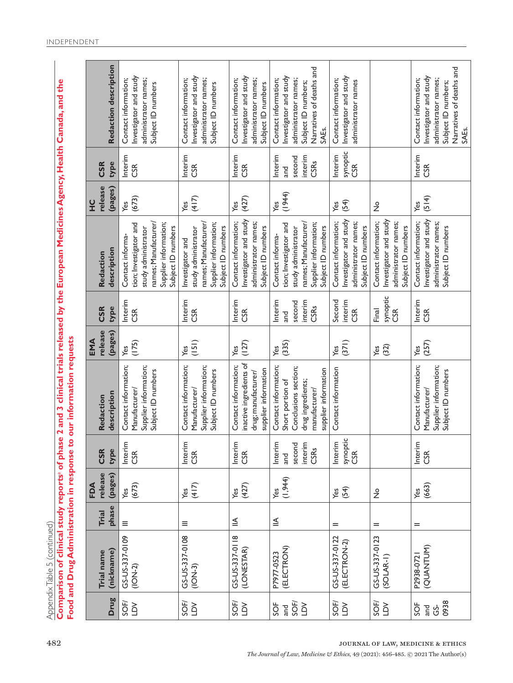Appendix Table 5 (continued) Appendix Table 5 (continued)

**Comparison of clinical study reports**a **of phase 2 and 3 clinical trials released by the European Medicines Agency, Health Canada, and the**  Comparison of clinical study reports<sup>3</sup> of phase 2 and 3 clinical trials released by the European Medicines Agency, Health Canada, and the Food and Drug Administration in response to our information requests **Food and Drug Administration in response to our information requests**

| Redaction description                      |                                                                                            | Investigator and $\operatorname{stud}$<br>administrator names;<br>Contact information;<br>Subject ID numbers | nvestigator and study<br>administrator names;<br>Contact information;<br>Subject ID numbers | Investigator and study<br>Contact information;<br>administrator names;<br>Subject ID numbers                 | Narratives of deaths and<br>Investigator and study<br>administrator names;<br>Contact information;<br>Subject ID numbers;                | Investigator and study<br>Contact information;<br>administrator names                        |                                                                                              |
|--------------------------------------------|--------------------------------------------------------------------------------------------|--------------------------------------------------------------------------------------------------------------|---------------------------------------------------------------------------------------------|--------------------------------------------------------------------------------------------------------------|------------------------------------------------------------------------------------------------------------------------------------------|----------------------------------------------------------------------------------------------|----------------------------------------------------------------------------------------------|
| CSR                                        |                                                                                            |                                                                                                              |                                                                                             |                                                                                                              | SAEs.                                                                                                                                    |                                                                                              |                                                                                              |
| type<br>(pages)                            | Interim<br><b>GR</b>                                                                       |                                                                                                              | Interim<br><b>CSR</b>                                                                       | Interim<br><b>CSR</b>                                                                                        | Interim<br>interim<br>second<br>CSRs<br>and                                                                                              | synoptic<br>Interim<br><b>GR</b>                                                             |                                                                                              |
| (673)<br>Yes                               |                                                                                            |                                                                                                              | (417)<br>Yes                                                                                | (427)<br>Yes                                                                                                 | (1944)<br>Yes                                                                                                                            | (54)<br>Yes                                                                                  | $\frac{1}{2}$                                                                                |
| tion; Investigator and<br>Contact informa- | names; Manufacturer/<br>Supplier information;<br>Subject ID numbers<br>study administrator | Investigator and                                                                                             | names; Manufacturer/<br>Supplier information;<br>Subject ID numbers<br>study administrator  | Investigator and $\operatorname{stud}$<br>Contact information;<br>administrator names;<br>Subject ID numbers | names; Manufacturer/<br>Supplier information;<br>tion; Investigator and<br>Subject ID numbers<br>study administrator<br>Contact informa- | Investigator and study<br>Contact information;<br>administrator names;<br>Subject ID numbers | Investigator and study<br>administrator names;<br>Contact information;<br>Subject ID numbers |
| Interim                                    |                                                                                            | nterim                                                                                                       |                                                                                             | Interim                                                                                                      | Interim<br>interim                                                                                                                       | Second<br>interim                                                                            | synoptic<br>CSR                                                                              |
| type                                       | <b>CSR</b>                                                                                 |                                                                                                              | CSR                                                                                         | CSR                                                                                                          | second<br>CSRs<br>and                                                                                                                    | <b>CSR</b>                                                                                   | Final                                                                                        |
| (pages)                                    | (175)<br>yes                                                                               | Yes                                                                                                          | (151)                                                                                       | (127)<br>Yes                                                                                                 | (335)<br>Yes                                                                                                                             | (371)<br>Yes                                                                                 | (32)<br>Yes                                                                                  |
| description                                | Contact information;<br>Supplier information;<br>Subject ID numbers<br>Manufacturer/       | Contact information;                                                                                         | Supplier information;<br>Subject ID numbers<br>Manufacturer/                                | inactive ingredients of<br>Contact information;<br>supplier information<br>drug; manufacturer/               | Contact information;<br>Conclusions section;<br>supplier information<br>Short portion of<br>drug ingredients;<br>manufacturer/           | Contact information                                                                          |                                                                                              |
| type                                       | Interim<br>CSR                                                                             | Interim<br><b>SR</b>                                                                                         |                                                                                             | Interim<br>CSR                                                                                               | Interim<br>second<br>interim<br>CSRs<br>and                                                                                              | synoptic<br>CSR<br>Interim                                                                   |                                                                                              |
| (pages)                                    | Yes<br>(673)                                                                               | (417)<br>Yes                                                                                                 |                                                                                             | (427)<br>Yes                                                                                                 | (1,944)<br>Yes                                                                                                                           | (54)<br>Yes                                                                                  | $\frac{1}{2}$                                                                                |
| phase<br>Trial                             | $\equiv$                                                                                   | $\equiv$                                                                                                     |                                                                                             | $\leqq$                                                                                                      | $\leqq$                                                                                                                                  | $=$                                                                                          | $=$                                                                                          |
| (nickname)<br>Trial name                   | GS-US-337-0109<br>$(10N-2)$                                                                | GS-US-337-0108<br>$(10N-3)$                                                                                  |                                                                                             | GS-US-337-0118<br>(LONESTAR)                                                                                 | (ELECTRON)<br>P7977-0523                                                                                                                 | GS-US-337-0122<br>(ELECTRON-2)                                                               | GS-US-337-0123<br>$(SOLAR-I)$                                                                |
| Drug                                       | <b>AGS</b>                                                                                 | <b>AGS</b>                                                                                                   |                                                                                             | <b>AGS</b>                                                                                                   | SOF/<br>SOF<br>and                                                                                                                       | <b>AGS</b>                                                                                   | <b>AGS</b>                                                                                   |

*The Journal of Law, Medicine & Ethics,* 49 (2021): 456-485. © 2021 The Author(s)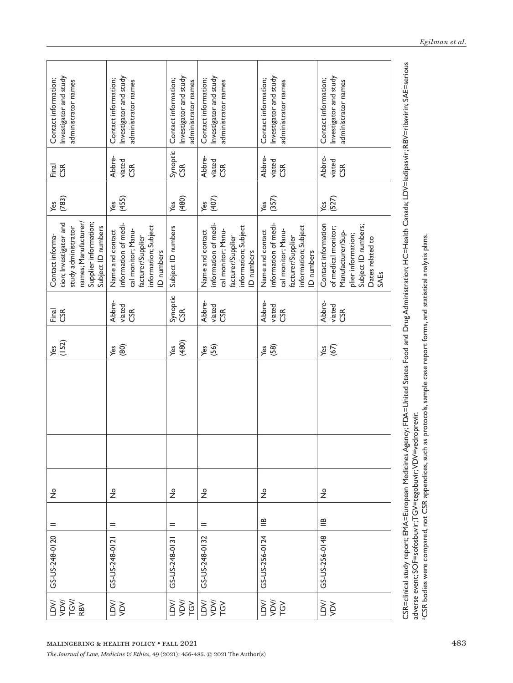| Investigator and study<br>Contact information;<br>administrator names                                                                    | Investigator and study<br>Contact information;<br>administrator names                                                    | Investigator and study<br>Contact information;<br>administrator names | Investigator and study<br>Contact information;<br>administrator names                                                     | Investigator and study<br>Contact information;<br>administrator names                                                    | Investigator and study<br>Contact information;<br>administrator names                                                                    |
|------------------------------------------------------------------------------------------------------------------------------------------|--------------------------------------------------------------------------------------------------------------------------|-----------------------------------------------------------------------|---------------------------------------------------------------------------------------------------------------------------|--------------------------------------------------------------------------------------------------------------------------|------------------------------------------------------------------------------------------------------------------------------------------|
| Firal<br>CSR                                                                                                                             | Abbre-<br>viated<br>ិ៍<br>ប                                                                                              | Synoptic<br>CSR                                                       | Abbre-<br>viated<br><b>ESR</b>                                                                                            | Abbre-<br>viated<br>g                                                                                                    | Abbre-<br>viated<br><b>GR</b>                                                                                                            |
| (783)<br>Yes                                                                                                                             | (455)<br>Yes                                                                                                             | (480)<br>Yes                                                          | (407)<br>Yes                                                                                                              | (357)<br>уeз                                                                                                             | (527)<br>Yes                                                                                                                             |
| names; Manufacturer/<br>Supplier information;<br>tion; Investigator and<br>Subject ID numbers<br>study administrator<br>Contact informa- | information of medi-<br>information; Subject<br>cal monitor; Manu-<br>Name and contact<br>facturer/Supplier<br>D numbers | Subject ID numbers                                                    | information of medi-<br>information; Subject<br>cal monitor; Manu-<br>Name and contact<br>facturer/Supplier<br>ID numbers | information of medi-<br>information; Subject<br>cal monitor; Manu-<br>Name and contact<br>facturer/Supplier<br>D numbers | Contact information<br>Subject ID numbers;<br>of medical monitor;<br>Manufacturer/Sup-<br>plier information;<br>Dates related to<br>SAEs |
| Final<br>CSR                                                                                                                             | Abbre-<br>viated<br><b>CSR</b>                                                                                           | Synoptic<br>CSR                                                       | Abbre-<br>viated<br><b>CSR</b>                                                                                            | Abbre-<br>viated<br>ិ៍<br>ប                                                                                              | Abbre-<br>viated<br><b>CSR</b>                                                                                                           |
| (152)<br>Yes                                                                                                                             | (80)<br>Yes                                                                                                              | (480)<br>Yes                                                          | (56)<br>Yes                                                                                                               | (58)<br>Yes                                                                                                              | $\widetilde{(\mathcal{E})}$<br>Yes                                                                                                       |
|                                                                                                                                          |                                                                                                                          |                                                                       |                                                                                                                           |                                                                                                                          |                                                                                                                                          |
|                                                                                                                                          |                                                                                                                          |                                                                       |                                                                                                                           |                                                                                                                          |                                                                                                                                          |
| $\frac{1}{2}$                                                                                                                            | $\frac{1}{2}$                                                                                                            | $\frac{1}{2}$                                                         | $\frac{1}{2}$                                                                                                             | $\frac{1}{2}$                                                                                                            | $\frac{1}{2}$                                                                                                                            |
| $=$                                                                                                                                      | $=$                                                                                                                      | $=$                                                                   | $=$                                                                                                                       | $\mathbf{m}$                                                                                                             | ≝                                                                                                                                        |
| GS-US-248-0120                                                                                                                           | GS-US-248-012                                                                                                            | GS-US-248-013                                                         | GS-US-248-0132                                                                                                            | GS-US-256-0124                                                                                                           | GS-US-256-0148                                                                                                                           |
| VDV<br>TGV<br>VQ1<br>RBV                                                                                                                 | XQV                                                                                                                      | /Ad^<br>$\widetilde{G}$                                               | vez<br>Vez                                                                                                                | vor<br>Ved                                                                                                               | XQV<br>XQT                                                                                                                               |

adverse event; SOF=sofosbuvir; TGV=tegobuvir; VDV=vedroprevir.

aCSR bodies were compared, not CSR appendices, such as protocols, sample case report forms, and statistical analysis plans.

communications - ישראל - ישראל - ישראל - ישראל - ישראל - ישראל - ישראל - ישראל - ישראל - ישראל - ישראל - ישראל<br>adverse event; SOF=sofosbuvir;TGV=tegobuvir;YDV=vedroprevir.<br>aCSR bodies were compared, not CSR appendices, su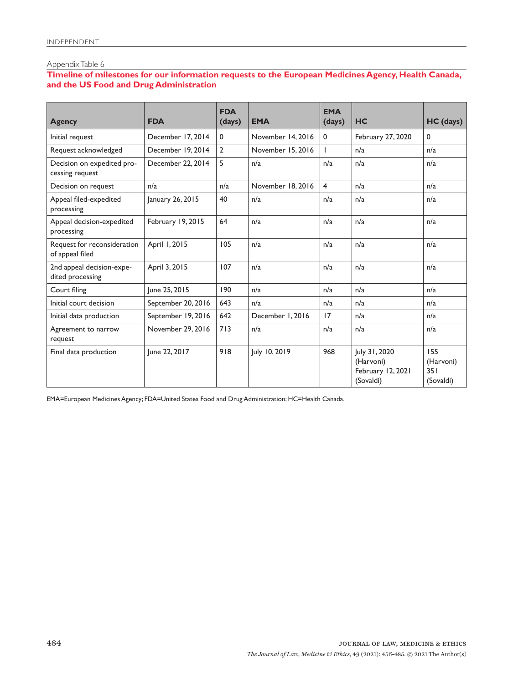# **Timeline of milestones for our information requests to the European Medicines Agency, Health Canada, and the US Food and Drug Administration**

| <b>Agency</b>                                  | <b>FDA</b>         | <b>FDA</b><br>(days) | <b>EMA</b>        | <b>EMA</b><br>(days)    | <b>HC</b>                                                    | HC (days)                            |
|------------------------------------------------|--------------------|----------------------|-------------------|-------------------------|--------------------------------------------------------------|--------------------------------------|
| Initial request                                | December 17, 2014  | $\mathbf{0}$         | November 14, 2016 | 0                       | February 27, 2020                                            | $\mathbf 0$                          |
| Request acknowledged                           | December 19, 2014  | $\overline{2}$       | November 15, 2016 |                         | n/a                                                          | n/a                                  |
| Decision on expedited pro-<br>cessing request  | December 22, 2014  | 5                    | n/a               | n/a                     | n/a                                                          | n/a                                  |
| Decision on request                            | n/a                | n/a                  | November 18, 2016 | $\overline{\mathbf{4}}$ | n/a                                                          | n/a                                  |
| Appeal filed-expedited<br>processing           | January 26, 2015   | 40                   | n/a               | n/a                     | n/a                                                          | n/a                                  |
| Appeal decision-expedited<br>processing        | February 19, 2015  | 64                   | n/a               | n/a                     | n/a                                                          | n/a                                  |
| Request for reconsideration<br>of appeal filed | April 1, 2015      | 105                  | n/a               | n/a                     | n/a                                                          | n/a                                  |
| 2nd appeal decision-expe-<br>dited processing  | April 3, 2015      | 107                  | n/a               | n/a                     | n/a                                                          | n/a                                  |
| Court filing                                   | June 25, 2015      | 190                  | n/a               | n/a                     | n/a                                                          | n/a                                  |
| Initial court decision                         | September 20, 2016 | 643                  | n/a               | n/a                     | n/a                                                          | n/a                                  |
| Initial data production                        | September 19, 2016 | 642                  | December 1, 2016  | 17                      | n/a                                                          | n/a                                  |
| Agreement to narrow<br>request                 | November 29, 2016  | 713                  | n/a               | n/a                     | n/a                                                          | n/a                                  |
| Final data production                          | June 22, 2017      | 918                  | July 10, 2019     | 968                     | July 31, 2020<br>(Harvoni)<br>February 12, 2021<br>(Sovaldi) | 155<br>(Harvoni)<br>351<br>(Sovaldi) |

EMA=European Medicines Agency; FDA=United States Food and Drug Administration; HC=Health Canada.